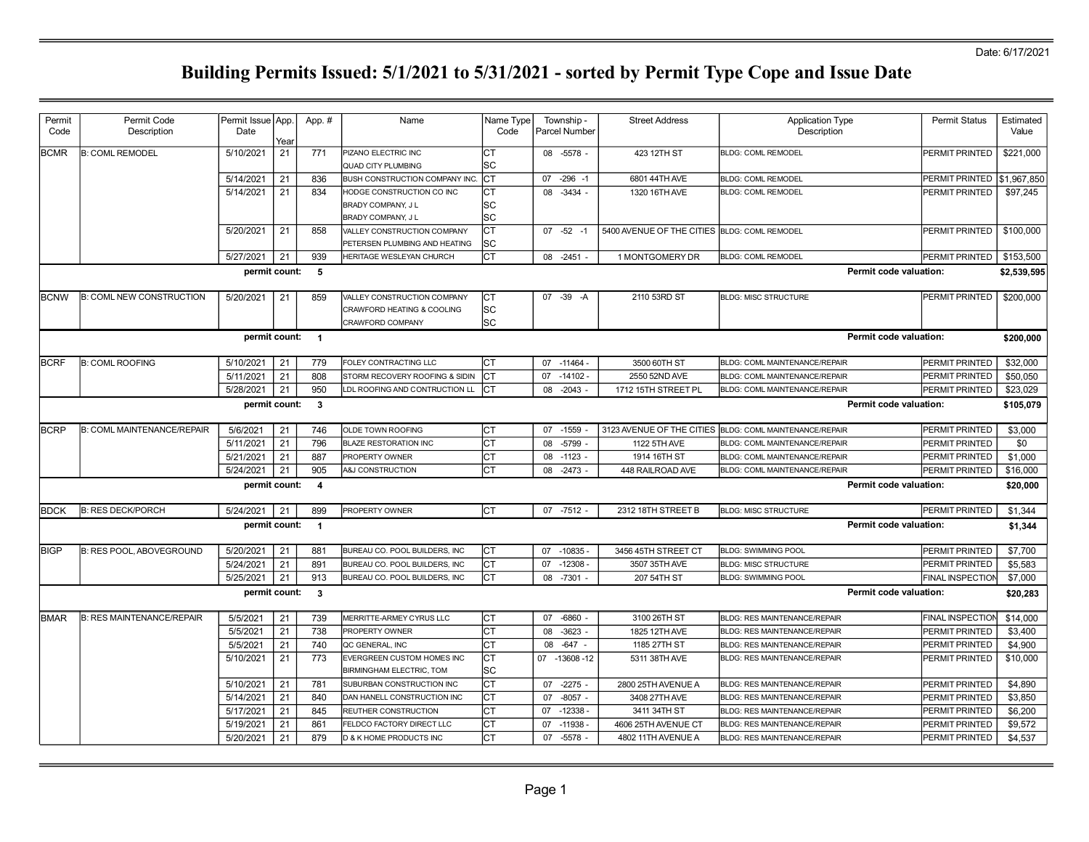| Permit<br>Code | Permit Code<br>Description        | Permit Issue App<br>Date | Yeaı | App. #                  | Name                                                                                 | Name Type<br>Code |    | Township -<br><b>Parcel Number</b> | <b>Street Address</b>                        | <b>Application Type</b><br>Description | <b>Permit Status</b>    | Estimated<br>Value |
|----------------|-----------------------------------|--------------------------|------|-------------------------|--------------------------------------------------------------------------------------|-------------------|----|------------------------------------|----------------------------------------------|----------------------------------------|-------------------------|--------------------|
| <b>BCMR</b>    | <b>B: COML REMODEL</b>            | 5/10/2021                | 21   | 771                     | PIZANO ELECTRIC INC<br><b>QUAD CITY PLUMBING</b>                                     | Iст<br>lsc        |    | 08 -5578 -                         | 423 12TH ST                                  | <b>BLDG: COML REMODEL</b>              | PERMIT PRINTED          | \$221,000          |
|                |                                   | 5/14/2021                | 21   | 836                     | BUSH CONSTRUCTION COMPANY INC                                                        | Iст               | 07 | $-296 - 1$                         | 6801 44TH AVE                                | <b>BLDG: COML REMODEL</b>              | PERMIT PRINTED          | \$1,967,850        |
|                |                                   | 5/14/2021                | 21   | 834                     | HODGE CONSTRUCTION CO INC<br>BRADY COMPANY, J L<br>BRADY COMPANY, J L                | Iст<br>lsc<br>lsc | 08 | $-3434 -$                          | 1320 16TH AVE                                | <b>BLDG: COML REMODEL</b>              | PERMIT PRINTED          | \$97,245           |
|                |                                   | 5/20/2021                | 21   | 858                     | VALLEY CONSTRUCTION COMPANY<br>PETERSEN PLUMBING AND HEATING                         | lст<br>lsc        |    | $07 -52 -1$                        | 5400 AVENUE OF THE CITIES BLDG: COML REMODEL |                                        | PERMIT PRINTED          | \$100,000          |
|                |                                   | 5/27/2021                | 21   | 939                     | HERITAGE WESLEYAN CHURCH                                                             | lст               |    | 08 -2451                           | 1 MONTGOMERY DR                              | <b>BLDG: COML REMODEL</b>              | PERMIT PRINTED          | \$153,500          |
|                |                                   | permit count:            |      | 5                       |                                                                                      |                   |    |                                    |                                              |                                        | Permit code valuation:  | \$2,539,595        |
| <b>IBCNW</b>   | <b>B: COML NEW CONSTRUCTION</b>   | 5/20/2021                | 21   | 859                     | VALLEY CONSTRUCTION COMPANY<br>CRAWFORD HEATING & COOLING<br><b>CRAWFORD COMPANY</b> | Iст<br>lsc<br>lsc |    | 07 -39 -A                          | 2110 53RD ST                                 | <b>BLDG: MISC STRUCTURE</b>            | <b>PERMIT PRINTED</b>   | \$200,000          |
|                |                                   | permit count: 1          |      |                         |                                                                                      |                   |    |                                    |                                              |                                        | Permit code valuation:  | \$200,000          |
| <b>BCRF</b>    | <b>B: COML ROOFING</b>            | 5/10/2021                | 21   | 779                     | FOLEY CONTRACTING LLC                                                                | Iст               | 07 | $-11464$                           | 3500 60TH ST                                 | <b>BLDG: COML MAINTENANCE/REPAIR</b>   | <b>PERMIT PRINTED</b>   | \$32,000           |
|                |                                   | 5/11/2021                | 21   | 808                     | STORM RECOVERY ROOFING & SIDIN                                                       | Iст               | 07 | $-14102 -$                         | 2550 52ND AVE                                | <b>BLDG: COML MAINTENANCE/REPAIR</b>   | PERMIT PRINTED          | \$50,050           |
|                |                                   | 5/28/2021                | 21   | 950                     | LDL ROOFING AND CONTRUCTION LL                                                       | lст               | 08 | $-2043 -$                          | 1712 15TH STREET PL                          | BLDG: COML MAINTENANCE/REPAIR          | PERMIT PRINTED          | \$23,029           |
|                |                                   | permit count:            |      | $\overline{\mathbf{3}}$ |                                                                                      |                   |    |                                    |                                              |                                        | Permit code valuation:  | \$105,079          |
| <b>BCRP</b>    | <b>B: COML MAINTENANCE/REPAIR</b> | 5/6/2021                 | 21   | 746                     | OLDE TOWN ROOFING                                                                    | Iст               | 07 | $-1559$                            | 3123 AVENUE OF THE CITIES                    | <b>BLDG: COML MAINTENANCE/REPAIR</b>   | <b>PERMIT PRINTED</b>   | \$3,000            |
|                |                                   | 5/11/2021                | 21   | 796                     | <b>BLAZE RESTORATION INC</b>                                                         | Iст               | 08 | $-5799$                            | 1122 5TH AVE                                 | <b>BLDG: COML MAINTENANCE/REPAIR</b>   | PERMIT PRINTED          | \$0                |
|                |                                   | 5/21/2021                | 21   | 887                     | PROPERTY OWNER                                                                       | lст               | 08 | $-1123 -$                          | 1914 16TH ST                                 | <b>BLDG: COML MAINTENANCE/REPAIR</b>   | PERMIT PRINTED          | \$1,000            |
|                |                                   | 5/24/2021                | 21   | 905                     | A&J CONSTRUCTION                                                                     | Iст               | 08 | $-2473 -$                          | 448 RAILROAD AVE                             | <b>BLDG: COML MAINTENANCE/REPAIR</b>   | <b>PERMIT PRINTED</b>   | \$16,000           |
|                |                                   | permit count:            |      | $\overline{4}$          |                                                                                      |                   |    |                                    |                                              |                                        | Permit code valuation:  | \$20,000           |
| <b>BDCK</b>    | <b>B: RES DECK/PORCH</b>          | 5/24/2021                | 21   | 899                     | PROPERTY OWNER                                                                       | Іст               |    | $07 - 7512 -$                      | 2312 18TH STREET B                           | <b>BLDG: MISC STRUCTURE</b>            | PERMIT PRINTED          | \$1,344            |
|                |                                   | permit count:            |      | $\overline{1}$          |                                                                                      |                   |    |                                    |                                              |                                        | Permit code valuation:  | \$1,344            |
| <b>BIGP</b>    | B: RES POOL, ABOVEGROUND          | 5/20/2021                | 21   | 881                     | BUREAU CO. POOL BUILDERS, INC                                                        | Iст               | 07 | $-10835 -$                         | 3456 45TH STREET CT                          | <b>BLDG: SWIMMING POOL</b>             | <b>PERMIT PRINTED</b>   | \$7,700            |
|                |                                   | 5/24/2021                | 21   | 891                     | BUREAU CO. POOL BUILDERS, INC                                                        | Iст               | 07 | $-12308 -$                         | 3507 35TH AVE                                | <b>BLDG: MISC STRUCTURE</b>            | PERMIT PRINTED          | \$5,583            |
|                |                                   | 5/25/2021                | 21   | 913                     | BUREAU CO. POOL BUILDERS, INC                                                        | Iст               | 08 | $-7301 -$                          | 207 54TH ST                                  | <b>BLDG: SWIMMING POOL</b>             | <b>FINAL INSPECTION</b> | \$7,000            |
|                |                                   | permit count:            |      | $\mathbf{3}$            |                                                                                      |                   |    |                                    |                                              |                                        | Permit code valuation:  | \$20,283           |
| <b>IBMAR</b>   | <b>B: RES MAINTENANCE/REPAIR</b>  | 5/5/2021                 | 21   | 739                     | MERRITTE-ARMEY CYRUS LLC                                                             | lст               | 07 | $-6860 -$                          | 3100 26TH ST                                 | <b>BLDG: RES MAINTENANCE/REPAIR</b>    | <b>FINAL INSPECTIOI</b> | \$14,000           |
|                |                                   | 5/5/2021                 | 21   | 738                     | PROPERTY OWNER                                                                       | lст               | 08 | $-3623 -$                          | 1825 12TH AVE                                | <b>BLDG: RES MAINTENANCE/REPAIR</b>    | PERMIT PRINTED          | \$3,400            |
|                |                                   | 5/5/2021                 | 21   | 740                     | QC GENERAL, INC                                                                      | Iст               | 08 | $-647 -$                           | 1185 27TH ST                                 | BLDG: RES MAINTENANCE/REPAIR           | PERMIT PRINTED          | \$4,900            |
|                |                                   | 5/10/2021                | 21   | 773                     | EVERGREEN CUSTOM HOMES INC<br>BIRMINGHAM ELECTRIC, TOM                               | lст<br>lsc        |    | 07 -13608 -12                      | 5311 38TH AVE                                | <b>BLDG: RES MAINTENANCE/REPAIR</b>    | PERMIT PRINTED          | \$10,000           |
|                |                                   | 5/10/2021                | 21   | 781                     | SUBURBAN CONSTRUCTION INC                                                            | lст               | 07 | $-2275$ -                          | 2800 25TH AVENUE A                           | <b>BLDG: RES MAINTENANCE/REPAIR</b>    | PERMIT PRINTED          | \$4,890            |
|                |                                   | 5/14/2021                | 21   | 840                     | DAN HANELL CONSTRUCTION INC                                                          | Iст               | 07 | $-8057 -$                          | 3408 27TH AVE                                | BLDG: RES MAINTENANCE/REPAIR           | PERMIT PRINTED          | \$3,850            |
|                |                                   | 5/17/2021                | 21   | 845                     | REUTHER CONSTRUCTION                                                                 | Iст               | 07 | $-12338 -$                         | 3411 34TH ST                                 | <b>BLDG: RES MAINTENANCE/REPAIR</b>    | PERMIT PRINTED          | \$6,200            |
|                |                                   | 5/19/2021                | 21   | 861                     | FELDCO FACTORY DIRECT LLC                                                            | Iст               | 07 | $-11938 -$                         | 4606 25TH AVENUE CT                          | <b>BLDG: RES MAINTENANCE/REPAIR</b>    | PERMIT PRINTED          | \$9,572            |
|                |                                   | 5/20/2021                | 21   | 879                     | D & K HOME PRODUCTS INC                                                              | Іст               | 07 | $-5578 -$                          | 4802 11TH AVENUE A                           | BLDG: RES MAINTENANCE/REPAIR           | PERMIT PRINTED          | \$4,537            |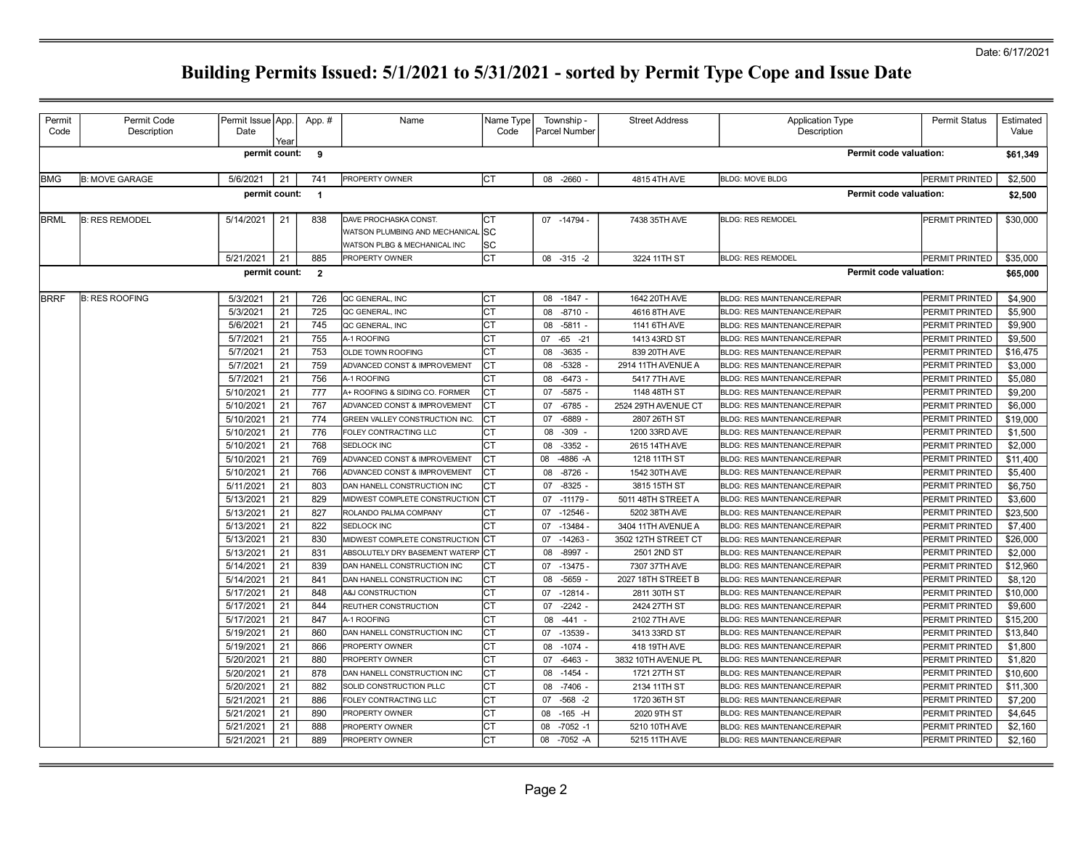| Permit      | Permit Code           | Permit Issue App.      |          | App. #         | Name                                                                                    | Name Type       | Township -                       | <b>Street Address</b>               | <b>Application Type</b>                                                    | <b>Permit Status</b>                    | Estimated           |
|-------------|-----------------------|------------------------|----------|----------------|-----------------------------------------------------------------------------------------|-----------------|----------------------------------|-------------------------------------|----------------------------------------------------------------------------|-----------------------------------------|---------------------|
| Code        | Description           | Date                   | Year     |                |                                                                                         | Code            | Parcel Number                    |                                     | Description                                                                |                                         | Value               |
|             |                       | permit count: 9        |          |                |                                                                                         |                 |                                  |                                     | Permit code valuation:                                                     |                                         | \$61,349            |
| <b>BMG</b>  | <b>B: MOVE GARAGE</b> | 5/6/2021               | 21       | 741            | PROPERTY OWNER                                                                          | СT              | 08 -2660                         | 4815 4TH AVE                        | <b>BLDG: MOVE BLDG</b>                                                     | PERMIT PRINTED                          | \$2,500             |
|             |                       | permit count:          |          | $\overline{1}$ |                                                                                         |                 |                                  |                                     | Permit code valuation:                                                     |                                         | \$2,500             |
| <b>BRML</b> | <b>B: RES REMODEL</b> | 5/14/2021              | 21       | 838            | DAVE PROCHASKA CONST.<br>WATSON PLUMBING AND MECHANICAL<br>WATSON PLBG & MECHANICAL INC | СT<br>lsc<br>SC | 07 -14794 -                      | 7438 35TH AVE                       | <b>BLDG: RES REMODEL</b>                                                   | PERMIT PRINTED                          | \$30,000            |
|             |                       | 5/21/2021              | 21       | 885            | PROPERTY OWNER                                                                          | СT              | $08 - 315 - 2$                   | 3224 11TH ST                        | <b>BLDG: RES REMODEL</b>                                                   | PERMIT PRINTED                          | \$35,000            |
|             |                       | permit count:          |          | $\overline{2}$ |                                                                                         |                 |                                  |                                     | <b>Permit code valuation:</b>                                              |                                         | \$65,000            |
| <b>BRRF</b> | <b>B: RES ROOFING</b> | 5/3/2021               | 21       | 726            | QC GENERAL, INC                                                                         | СT              | $-1847 -$<br>08                  | 1642 20TH AVE                       | <b>BLDG: RES MAINTENANCE/REPAIR</b>                                        | <b>PERMIT PRINTED</b>                   | \$4,900             |
|             |                       | 5/3/2021               | 21       | 725            | QC GENERAL, INC                                                                         | CT              | 08<br>$-8710 -$                  | 4616 8TH AVE                        | <b>BLDG: RES MAINTENANCE/REPAIR</b>                                        | PERMIT PRINTED                          | \$5,900             |
|             |                       | 5/6/2021               | 21       | 745            | QC GENERAL, INC                                                                         | СT              | $-5811 -$<br>08                  | 1141 6TH AVE                        | <b>BLDG: RES MAINTENANCE/REPAIR</b>                                        | PERMIT PRINTED                          | \$9,900             |
|             |                       | 5/7/2021               | 21       | 755            | A-1 ROOFING                                                                             | CT              | 07<br>$-65 -21$                  | 1413 43RD ST                        | <b>BLDG: RES MAINTENANCE/REPAIR</b>                                        | PERMIT PRINTED                          | \$9,500             |
|             |                       | 5/7/2021               | 21       | 753            | <b>OLDE TOWN ROOFING</b>                                                                | СT              | 08<br>$-3635 -$                  | 839 20TH AVE                        | <b>BLDG: RES MAINTENANCE/REPAIR</b>                                        | PERMIT PRINTED                          | \$16,475            |
|             |                       | 5/7/2021               | 21       | 759            | ADVANCED CONST & IMPROVEMENT                                                            | СT              | $-5328 -$<br>08                  | 2914 11TH AVENUE A                  | <b>BLDG: RES MAINTENANCE/REPAIR</b>                                        | PERMIT PRINTED                          | \$3,000             |
|             |                       | 5/7/2021               | 21       | 756            | A-1 ROOFING                                                                             | СT              | $-6473 -$<br>08                  | 5417 7TH AVE                        | <b>BLDG: RES MAINTENANCE/REPAIR</b>                                        | PERMIT PRINTED                          | \$5,080             |
|             |                       | 5/10/2021              | 21       | 777            | A+ ROOFING & SIDING CO. FORMER                                                          | CT              | $-5875 -$<br>07                  | 1148 48TH ST                        | <b>BLDG: RES MAINTENANCE/REPAIR</b>                                        | PERMIT PRINTED                          | \$9,200             |
|             |                       | 5/10/2021              | 21       | 767            | ADVANCED CONST & IMPROVEMENT                                                            | CT              | $-6785$<br>07                    | 2524 29TH AVENUE CT                 | <b>BLDG: RES MAINTENANCE/REPAIR</b>                                        | PERMIT PRINTED                          | \$6,000             |
|             |                       | 5/10/2021<br>5/10/2021 | 21<br>21 | 774<br>776     | GREEN VALLEY CONSTRUCTION INC.                                                          | СT              | $-6889$<br>07                    | 2807 26TH ST                        | <b>BLDG: RES MAINTENANCE/REPAIR</b>                                        | PERMIT PRINTED                          | \$19,000            |
|             |                       | 5/10/2021              | 21       | 768            | FOLEY CONTRACTING LLC<br>SEDLOCK INC                                                    | СT<br>СT        | $-309$<br>08<br>$-3352$<br>08    | 1200 33RD AVE<br>2615 14TH AVE      | <b>BLDG: RES MAINTENANCE/REPAIR</b><br><b>BLDG: RES MAINTENANCE/REPAIR</b> | PERMIT PRINTED<br><b>PERMIT PRINTED</b> | \$1,500<br>\$2,000  |
|             |                       | 5/10/2021              | 21       | 769            | ADVANCED CONST & IMPROVEMENT                                                            | СT              | -4886 - A<br>08                  | 1218 11TH ST                        | <b>BLDG: RES MAINTENANCE/REPAIR</b>                                        | PERMIT PRINTED                          | \$11,400            |
|             |                       | 5/10/2021              | 21       | 766            | ADVANCED CONST & IMPROVEMENT                                                            | CT              | $-8726 -$<br>08                  | 1542 30TH AVE                       | <b>BLDG: RES MAINTENANCE/REPAIR</b>                                        | PERMIT PRINTED                          | \$5,400             |
|             |                       | 5/11/2021              | 21       | 803            | DAN HANELL CONSTRUCTION INC                                                             | СT              | $-8325 -$<br>07                  | 3815 15TH ST                        | <b>BLDG: RES MAINTENANCE/REPAIR</b>                                        | PERMIT PRINTED                          | \$6,750             |
|             |                       | 5/13/2021              | 21       | 829            | MIDWEST COMPLETE CONSTRUCTION                                                           | <b>ICT</b>      | $-11179-$<br>07                  | 5011 48TH STREET A                  | <b>BLDG: RES MAINTENANCE/REPAIR</b>                                        | PERMIT PRINTED                          | \$3,600             |
|             |                       | 5/13/2021              | 21       | 827            | ROLANDO PALMA COMPANY                                                                   | СT              | $-12546 -$<br>07                 | 5202 38TH AVE                       | <b>BLDG: RES MAINTENANCE/REPAIR</b>                                        | PERMIT PRINTED                          | \$23,500            |
|             |                       | 5/13/2021              | 21       | 822            | SEDLOCK INC                                                                             | CT              | $-13484-$<br>07                  | 3404 11TH AVENUE A                  | <b>BLDG: RES MAINTENANCE/REPAIR</b>                                        | PERMIT PRINTED                          | \$7,400             |
|             |                       | 5/13/2021              | 21       | 830            | MIDWEST COMPLETE CONSTRUCTION CT                                                        |                 | $-14263 -$<br>07                 | 3502 12TH STREET CT                 | <b>BLDG: RES MAINTENANCE/REPAIR</b>                                        | PERMIT PRINTED                          | \$26,000            |
|             |                       | 5/13/2021              | 21       | 831            | ABSOLUTELY DRY BASEMENT WATERP CT                                                       |                 | $-8997 -$<br>08                  | 2501 2ND ST                         | <b>BLDG: RES MAINTENANCE/REPAIR</b>                                        | PERMIT PRINTED                          | \$2,000             |
|             |                       | 5/14/2021              | 21       | 839            | DAN HANELL CONSTRUCTION INC                                                             | СT              | 07<br>$-13475-$                  | 7307 37TH AVE                       | <b>BLDG: RES MAINTENANCE/REPAIR</b>                                        | PERMIT PRINTED                          | \$12,960            |
|             |                       | 5/14/2021              | 21       | 841            | DAN HANELL CONSTRUCTION INC                                                             | СT              | $-5659$<br>08                    | 2027 18TH STREET B                  | <b>BLDG: RES MAINTENANCE/REPAIR</b>                                        | <b>PERMIT PRINTED</b>                   | \$8,120             |
|             |                       | 5/17/2021              | 21       | 848            | A&J CONSTRUCTION                                                                        | <b>CT</b>       | $-12814-$<br>07                  | 2811 30TH ST                        | <b>BLDG: RES MAINTENANCE/REPAIR</b>                                        | PERMIT PRINTED                          | \$10,000            |
|             |                       | 5/17/2021              | 21       | 844            | REUTHER CONSTRUCTION                                                                    | СT              | $-2242 -$<br>07                  | 2424 27TH ST                        | <b>BLDG: RES MAINTENANCE/REPAIR</b>                                        | PERMIT PRINTED                          | \$9,600             |
|             |                       | 5/17/2021              | 21       | 847            | A-1 ROOFING                                                                             | <b>CT</b>       | $-441$<br>08                     | 2102 7TH AVE                        | <b>BLDG: RES MAINTENANCE/REPAIR</b>                                        | PERMIT PRINTED                          | \$15,200            |
|             |                       | 5/19/2021              | 21       | 860            | DAN HANELL CONSTRUCTION INC                                                             | СT              | $-13539 -$<br>07                 | 3413 33RD ST                        | <b>BLDG: RES MAINTENANCE/REPAIR</b>                                        | PERMIT PRINTED                          | \$13,840            |
|             |                       | 5/19/2021              | 21       | 866            | PROPERTY OWNER                                                                          | CT              | $-1074 -$<br>08                  | 418 19TH AVE                        | <b>BLDG: RES MAINTENANCE/REPAIR</b>                                        | PERMIT PRINTED                          | \$1,800             |
|             |                       | 5/20/2021<br>5/20/2021 | 21<br>21 | 880<br>878     | PROPERTY OWNER<br>DAN HANELL CONSTRUCTION INC                                           | CT<br>СT        | $-6463 -$<br>07<br>08<br>$-1454$ | 3832 10TH AVENUE PL<br>1721 27TH ST | <b>BLDG: RES MAINTENANCE/REPAIR</b><br><b>BLDG: RES MAINTENANCE/REPAIR</b> | PERMIT PRINTED<br>PERMIT PRINTED        | \$1,820<br>\$10,600 |
|             |                       | 5/20/2021              | 21       | 882            | SOLID CONSTRUCTION PLLC                                                                 | СT              | $-7406$<br>08                    | 2134 11TH ST                        | <b>BLDG: RES MAINTENANCE/REPAIR</b>                                        | PERMIT PRINTED                          | \$11,300            |
|             |                       | 5/21/2021              | 21       | 886            | FOLEY CONTRACTING LLC                                                                   | СT              | $-568 - 2$<br>07                 | 1720 36TH ST                        | <b>BLDG: RES MAINTENANCE/REPAIR</b>                                        | PERMIT PRINTED                          | \$7,200             |
|             |                       | 5/21/2021              | 21       | 890            | PROPERTY OWNER                                                                          | СT              | $-165$ -H<br>08                  | 2020 9TH ST                         | <b>BLDG: RES MAINTENANCE/REPAIR</b>                                        | PERMIT PRINTED                          | \$4,645             |
|             |                       | 5/21/2021              | 21       | 888            | PROPERTY OWNER                                                                          | СT              | $-7052 - 1$<br>08                | 5210 10TH AVE                       | <b>BLDG: RES MAINTENANCE/REPAIR</b>                                        | PERMIT PRINTED                          | \$2,160             |
|             |                       | 5/21/2021              | 21       | 889            | PROPERTY OWNER                                                                          | CT              | 08<br>-7052 -A                   | 5215 11TH AVE                       | <b>BLDG: RES MAINTENANCE/REPAIR</b>                                        | PERMIT PRINTED                          | \$2,160             |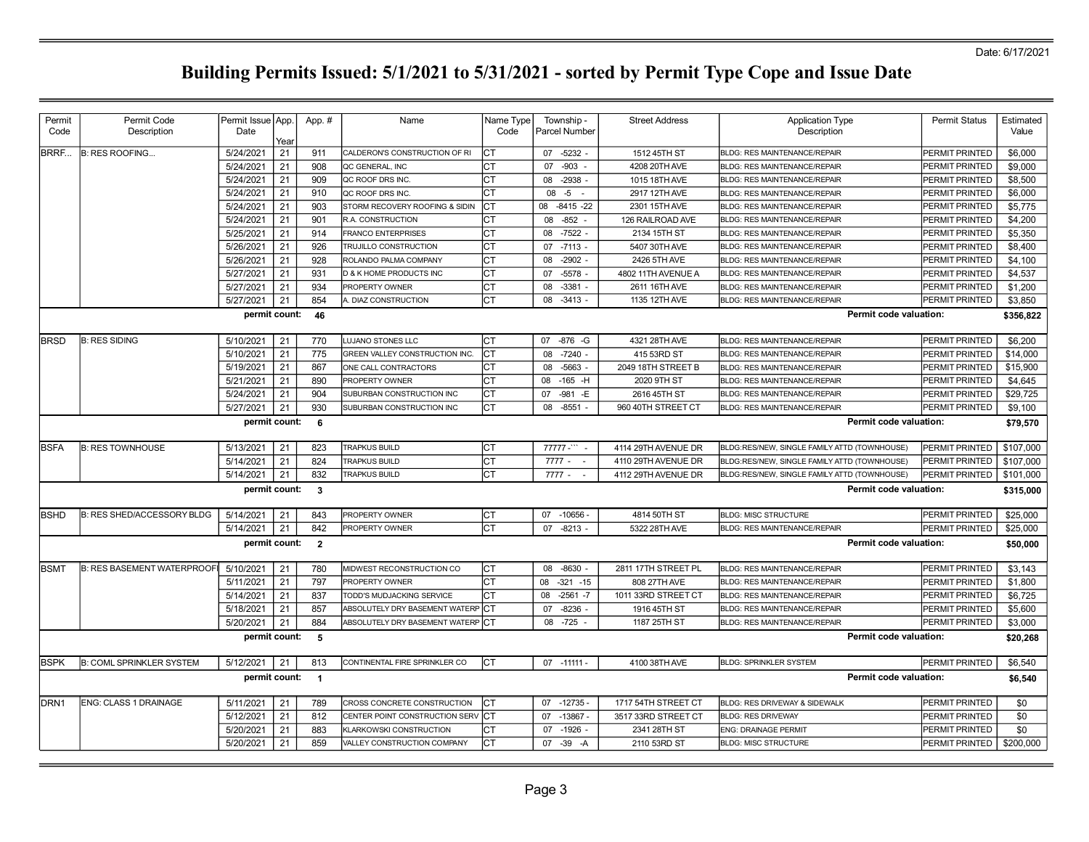| Permit           | Permit Code                       | Permit Issue   App. |      | App. #         | Name                              | Name Type  | Township -           | <b>Street Address</b> | <b>Application Type</b>                      | <b>Permit Status</b>  | Estimated |
|------------------|-----------------------------------|---------------------|------|----------------|-----------------------------------|------------|----------------------|-----------------------|----------------------------------------------|-----------------------|-----------|
| Code             | Description                       | Date                |      |                |                                   | Code       | <b>Parcel Number</b> |                       | Description                                  |                       | Value     |
|                  |                                   |                     | Year |                |                                   |            |                      |                       |                                              |                       |           |
| <b>BRRF</b>      | <b>B: RES ROOFING</b>             | 5/24/2021           | 21   | 911            | CALDERON'S CONSTRUCTION OF RI     |            | 07 -5232 -           | 1512 45TH ST          | <b>BLDG: RES MAINTENANCE/REPAIR</b>          | PERMIT PRINTED        | \$6,000   |
|                  |                                   | 5/24/2021           | 21   | 908            | QC GENERAL, INC                   | Iст        | $-903 -$<br>07       | 4208 20TH AVE         | <b>BLDG: RES MAINTENANCE/REPAIR</b>          | PERMIT PRINTED        | \$9,000   |
|                  |                                   | 5/24/2021           | 21   | 909            | QC ROOF DRS INC.                  | СT         | $-2938$<br>08        | 1015 18TH AVE         | <b>BLDG: RES MAINTENANCE/REPAIR</b>          | PERMIT PRINTED        | \$8,500   |
|                  |                                   | 5/24/2021           | 21   | 910            | QC ROOF DRS INC.                  | Iст        | $08 - 5 -$           | 2917 12TH AVE         | <b>BLDG: RES MAINTENANCE/REPAIR</b>          | PERMIT PRINTED        | \$6,000   |
|                  |                                   | 5/24/2021           | 21   | 903            | STORM RECOVERY ROOFING & SIDIN    | Iст        | $-8415 - 22$<br>08   | 2301 15TH AVE         | <b>BLDG: RES MAINTENANCE/REPAIR</b>          | PERMIT PRINTED        | \$5.775   |
|                  |                                   | 5/24/2021           | 21   | 901            | <b>R.A. CONSTRUCTION</b>          | Iст        | 08<br>$-852 -$       | 126 RAILROAD AVE      | <b>BLDG: RES MAINTENANCE/REPAIR</b>          | PERMIT PRINTED        | \$4,200   |
|                  |                                   | 5/25/2021           | 21   | 914            | <b>FRANCO ENTERPRISES</b>         | CT         | $-7522$<br>08        | 2134 15TH ST          | <b>BLDG: RES MAINTENANCE/REPAIR</b>          | PERMIT PRINTED        | \$5,350   |
|                  |                                   | 5/26/2021           | 21   | 926            | <b>TRUJILLO CONSTRUCTION</b>      | CT         | 07 -7113 -           | 5407 30TH AVE         | <b>BLDG: RES MAINTENANCE/REPAIR</b>          | PERMIT PRINTED        | \$8,400   |
|                  |                                   | 5/26/2021           | 21   | 928            | ROLANDO PALMA COMPANY             | CT         | $-2902$<br>08        | 2426 5TH AVE          | <b>BLDG: RES MAINTENANCE/REPAIR</b>          | PERMIT PRINTED        | \$4,100   |
|                  |                                   | 5/27/2021           | 21   | 931            | D & K HOME PRODUCTS INC           | CT         | $-5578$<br>07        | 4802 11TH AVENUE A    | <b>BLDG: RES MAINTENANCE/REPAIR</b>          | PERMIT PRINTED        | \$4,537   |
|                  |                                   | 5/27/2021           | 21   | 934            | PROPERTY OWNER                    | СT         | $-3381 -$<br>08      | 2611 16TH AVE         | <b>BLDG: RES MAINTENANCE/REPAIR</b>          | PERMIT PRINTED        | \$1,200   |
|                  |                                   | 5/27/2021           | 21   | 854            | A. DIAZ CONSTRUCTION              | CT         | $-3413$<br>08        | 1135 12TH AVE         | <b>BLDG: RES MAINTENANCE/REPAIR</b>          | PERMIT PRINTED        | \$3,850   |
|                  |                                   | permit count:       |      | 46             |                                   |            |                      |                       | Permit code valuation:                       |                       | \$356,822 |
|                  |                                   |                     |      |                |                                   |            |                      |                       |                                              |                       |           |
| <b>BRSD</b>      | <b>B: RES SIDING</b>              | 5/10/2021           | 21   | 770            | LUJANO STONES LLC                 | Iст        | 07<br>$-876 - G$     | 4321 28TH AVE         | <b>BLDG: RES MAINTENANCE/REPAIR</b>          | PERMIT PRINTED        | \$6,200   |
|                  |                                   | 5/10/2021           | 21   | 775            | GREEN VALLEY CONSTRUCTION INC.    | lст        | $-7240 -$<br>08      | 415 53RD ST           | <b>BLDG: RES MAINTENANCE/REPAIR</b>          | PERMIT PRINTED        | \$14,000  |
|                  |                                   | 5/19/2021           | 21   | 867            | ONE CALL CONTRACTORS              | CT         | $-5663 -$<br>08      | 2049 18TH STREET B    | <b>BLDG: RES MAINTENANCE/REPAIR</b>          | PERMIT PRINTED        | \$15,900  |
|                  |                                   | 5/21/2021           | 21   | 890            | <b>PROPERTY OWNER</b>             | СT         | $-165$ -H<br>08      | 2020 9TH ST           | <b>BLDG: RES MAINTENANCE/REPAIR</b>          | PERMIT PRINTED        | \$4,645   |
|                  |                                   | 5/24/2021           | 21   | 904            | SUBURBAN CONSTRUCTION INC         | CT         | 07<br>$-981 - E$     | 2616 45TH ST          | <b>BLDG: RES MAINTENANCE/REPAIR</b>          | <b>PERMIT PRINTED</b> | \$29,725  |
|                  |                                   | 5/27/2021           | 21   | 930            | SUBURBAN CONSTRUCTION INC         | СT         | $-8551$<br>08        | 960 40TH STREET CT    | <b>BLDG: RES MAINTENANCE/REPAIR</b>          | PERMIT PRINTED        | \$9,100   |
|                  |                                   | permit count:       |      | 6              |                                   |            |                      |                       | Permit code valuation:                       |                       | \$79,570  |
| <b>BSFA</b>      | <b>B: RES TOWNHOUSE</b>           | 5/13/2021           | 21   | 823            | <b>TRAPKUS BUILD</b>              | Iст        | $77777 - 1$          | 4114 29TH AVENUE DR   | BLDG:RES/NEW, SINGLE FAMILY ATTD (TOWNHOUSE) | PERMIT PRINTED        | \$107,000 |
|                  |                                   | 5/14/2021           | 21   | 824            | <b>TRAPKUS BUILD</b>              | lст        | $7777 - -$           | 4110 29TH AVENUE DR   | BLDG:RES/NEW, SINGLE FAMILY ATTD (TOWNHOUSE) | PERMIT PRINTED        | \$107,000 |
|                  |                                   | 5/14/2021           | 21   | 832            | <b>TRAPKUS BUILD</b>              | Iст        | 7777 -<br>$\sim$     | 4112 29TH AVENUE DR   | BLDG:RES/NEW, SINGLE FAMILY ATTD (TOWNHOUSE) | PERMIT PRINTED        | \$101,000 |
|                  |                                   | permit count:       |      | $\mathbf{3}$   |                                   |            |                      |                       | <b>Permit code valuation:</b>                |                       | \$315,000 |
|                  |                                   |                     |      |                |                                   |            |                      |                       |                                              |                       |           |
| <b>BSHD</b>      | <b>B: RES SHED/ACCESSORY BLDG</b> | 5/14/2021           | 21   | 843            | PROPERTY OWNER                    | СT         | 07 -10656 -          | 4814 50TH ST          | <b>BLDG: MISC STRUCTURE</b>                  | PERMIT PRINTED        | \$25,000  |
|                  |                                   | 5/14/2021           | 21   | 842            | PROPERTY OWNER                    | CT         | $-8213 -$<br>07      | 5322 28TH AVE         | <b>BLDG: RES MAINTENANCE/REPAIR</b>          | PERMIT PRINTED        | \$25,000  |
|                  |                                   | permit count:       |      | $\overline{2}$ |                                   |            |                      |                       | Permit code valuation:                       |                       | \$50,000  |
| <b>BSMT</b>      | <b>B: RES BASEMENT WATERPROOF</b> | 5/10/2021           | 21   | 780            | MIDWEST RECONSTRUCTION CO         | СT         | 08 -8630 -           | 2811 17TH STREET PL   | <b>BLDG: RES MAINTENANCE/REPAIR</b>          | PERMIT PRINTED        | \$3.143   |
|                  |                                   | 5/11/2021           | 21   | 797            | PROPERTY OWNER                    | CT         | $-321 - 15$<br>08    | 808 27TH AVE          | <b>BLDG: RES MAINTENANCE/REPAIR</b>          | PERMIT PRINTED        | \$1,800   |
|                  |                                   | 5/14/2021           | 21   | 837            | TODD'S MUDJACKING SERVICE         | IСT        | $-2561 - 7$<br>08    | 1011 33RD STREET CT   | <b>BLDG: RES MAINTENANCE/REPAIR</b>          | PERMIT PRINTED        | \$6,725   |
|                  |                                   | 5/18/2021           | 21   | 857            | ABSOLUTELY DRY BASEMENT WATERP CT |            | $-8236$ -<br>07      | 1916 45TH ST          | <b>BLDG: RES MAINTENANCE/REPAIR</b>          | PERMIT PRINTED        | \$5,600   |
|                  |                                   | 5/20/2021           | 21   | 884            | ABSOLUTELY DRY BASEMENT WATERP CT |            | 08<br>$-725$         | 1187 25TH ST          | <b>BLDG: RES MAINTENANCE/REPAIR</b>          | PERMIT PRINTED        | \$3,000   |
|                  |                                   | permit count:       |      |                |                                   |            |                      |                       | Permit code valuation:                       |                       |           |
|                  |                                   |                     |      | $-5$           |                                   |            |                      |                       |                                              |                       | \$20,268  |
| <b>BSPK</b>      | <b>B: COML SPRINKLER SYSTEM</b>   | 5/12/2021           | 21   | 813            | CONTINENTAL FIRE SPRINKLER CO     | lст        | $07 - 11111 -$       | 4100 38TH AVE         | <b>BLDG: SPRINKLER SYSTEM</b>                | PERMIT PRINTED        | \$6,540   |
|                  |                                   | permit count: 1     |      |                |                                   |            |                      |                       | <b>Permit code valuation:</b>                |                       | \$6,540   |
|                  |                                   |                     |      |                |                                   |            |                      |                       |                                              |                       |           |
| DRN <sub>1</sub> | <b>ENG: CLASS 1 DRAINAGE</b>      | 5/11/2021           | 21   | 789            | CROSS CONCRETE CONSTRUCTION       | Iст        | $-12735-$<br>07      | 1717 54TH STREET CT   | <b>BLDG: RES DRIVEWAY &amp; SIDEWALK</b>     | PERMIT PRINTED        | \$0       |
|                  |                                   | 5/12/2021           | 21   | 812            | CENTER POINT CONSTRUCTION SERV    | <b>ICT</b> | 07<br>$-13867 -$     | 3517 33RD STREET CT   | <b>BLDG: RES DRIVEWAY</b>                    | PERMIT PRINTED        | \$0       |
|                  |                                   | 5/20/2021           | 21   | 883            | KLARKOWSKI CONSTRUCTION           | СT         | 07 -1926             | 2341 28TH ST          | ENG: DRAINAGE PERMIT                         | PERMIT PRINTED        | \$0       |
|                  |                                   | 5/20/2021           | 21   | 859            | VALLEY CONSTRUCTION COMPANY       | Iст        | $-39$<br>07<br>$-A$  | 2110 53RD ST          | <b>BLDG: MISC STRUCTURE</b>                  | PERMIT PRINTED        | \$200,000 |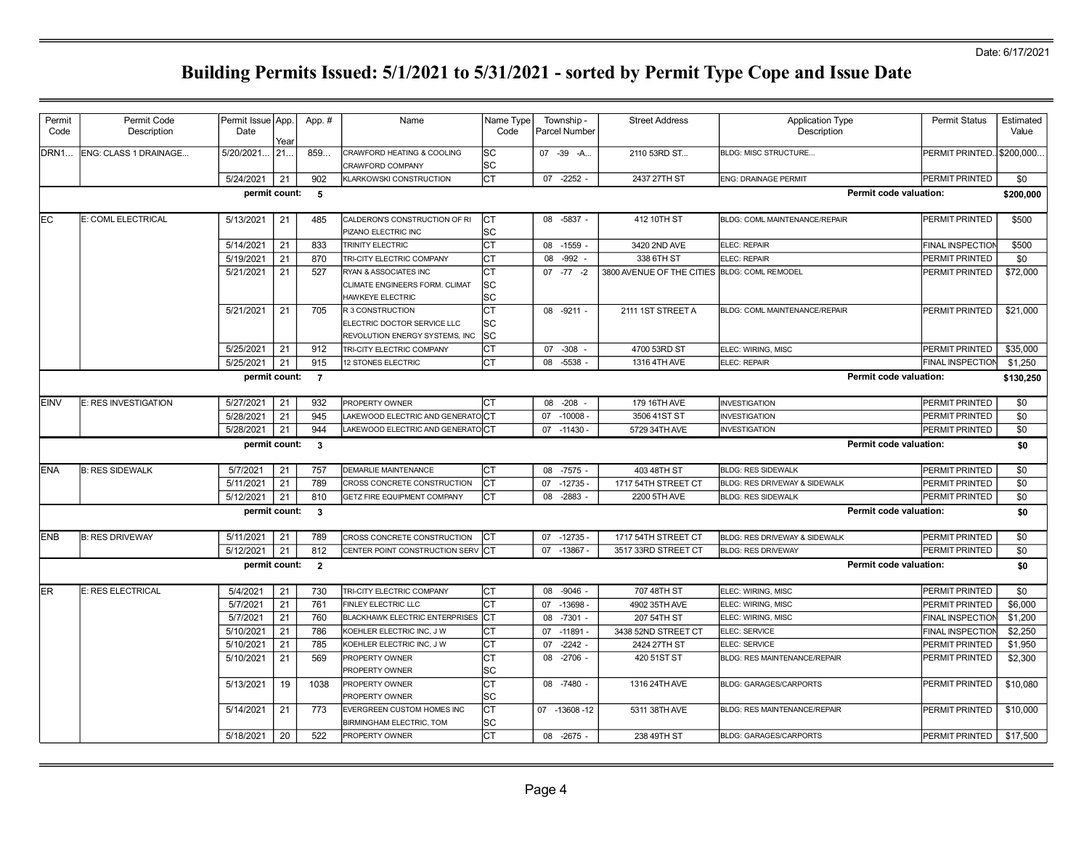| Code<br>Description<br>Date<br>Code<br>Parcel Number<br>Description<br>Value<br>Year<br>07 -39 -A<br>ENG: CLASS 1 DRAINAGE<br>5/20/2021<br>21.<br>859<br>CRAWFORD HEATING & COOLING<br>lsc<br>2110 53RD ST<br>BLDG: MISC STRUCTURE<br>PERMIT PRINTED. \$200,000.<br> SC<br>CRAWFORD COMPANY<br>Іст<br>5/24/2021<br>21<br>902<br>07 -2252<br>2437 27TH ST<br>PERMIT PRINTED<br>\$0<br>KLARKOWSKI CONSTRUCTION<br><b>ENG: DRAINAGE PERMIT</b><br>permit count:<br>Permit code valuation:<br>$-5$<br>\$200,000<br>Iст<br>E: COML ELECTRICAL<br>5/13/2021<br>21<br>485<br>CALDERON'S CONSTRUCTION OF RI<br>08 -5837 -<br>412 10TH ST<br>BLDG: COML MAINTENANCE/REPAIR<br>PERMIT PRINTED<br>\$500<br>PIZANO ELECTRIC INC<br>lsc<br>Іст<br>5/14/2021<br>21<br>833<br>08<br>$-1559 -$<br>3420 2ND AVE<br>ELEC: REPAIR<br><b>FINAL INSPECTION</b><br>\$500<br>TRINITY ELECTRIC<br>21<br>5/19/2021<br>Iст<br>$-992 -$<br>338 6TH ST<br>\$0<br>870<br>TRI-CITY ELECTRIC COMPANY<br>08<br>ELEC: REPAIR<br>PERMIT PRINTED<br>5/21/2021<br>21<br>527<br>Iст<br>$07 - 77 - 2$<br>3800 AVENUE OF THE CITIES BLDG: COML REMODEL<br>\$72,000<br>RYAN & ASSOCIATES INC<br>PERMIT PRINTED<br>lsc<br>CLIMATE ENGINEERS FORM. CLIMAT<br>lsc<br><b>HAWKEYE ELECTRIC</b><br>Іст<br>5/21/2021<br>21<br>705<br>\$21,000<br>R 3 CONSTRUCTION<br>08 -9211 -<br>2111 1ST STREET A<br><b>BLDG: COML MAINTENANCE/REPAIR</b><br><b>PERMIT PRINTED</b><br>lsc<br>ELECTRIC DOCTOR SERVICE LLC<br>lsc<br>REVOLUTION ENERGY SYSTEMS, INC<br>5/25/2021<br>21<br>912<br>Iст<br>\$35,000<br>TRI-CITY ELECTRIC COMPANY<br>07 -308 -<br>4700 53RD ST<br>PERMIT PRINTED<br>ELEC: WIRING, MISC<br>5/25/2021<br>21<br>915<br>Iст<br>08<br>$-5538 -$<br>1316 4TH AVE<br><b>FINAL INSPECTION</b><br>\$1,250<br>12 STONES ELECTRIC<br>ELEC: REPAIR<br>permit count: 7<br>Permit code valuation:<br>\$130,250<br>5/27/2021<br>E: RES INVESTIGATION<br>21<br>932<br>PROPERTY OWNER<br>Iст<br>08 -208 -<br>179 16TH AVE<br><b>INVESTIGATION</b><br><b>PERMIT PRINTED</b><br>\$0<br>5/28/2021<br>945<br>\$0<br>21<br>LAKEWOOD ELECTRIC AND GENERATOCT<br>$-10008 -$<br>07<br>3506 41ST ST<br><b>INVESTIGATION</b><br>PERMIT PRINTED<br>5/28/2021<br>21<br>944<br>\$0<br>LAKEWOOD ELECTRIC AND GENERATOCT<br>07<br>$-11430 -$<br>5729 34TH AVE<br><b>INVESTIGATION</b><br>PERMIT PRINTED<br>Permit code valuation:<br>permit count:<br>$\overline{\phantom{a}}$<br>\$0<br><b>B: RES SIDEWALK</b><br>$-7575 -$<br>403 48TH ST<br>5/7/2021<br>Iст<br>08<br><b>BLDG: RES SIDEWALK</b><br>PERMIT PRINTED<br>\$0<br>21<br>757<br>DEMARLIE MAINTENANCE<br>21<br>789<br>CROSS CONCRETE CONSTRUCTION<br>Iст<br>$-12735-$<br>1717 54TH STREET CT<br>BLDG: RES DRIVEWAY & SIDEWALK<br>PERMIT PRINTED<br>\$0<br>5/11/2021<br>07<br>$-2883 -$<br>5/12/2021<br>21<br>810<br><b>GETZ FIRE EQUIPMENT COMPANY</b><br>Iст<br>08<br>2200 5TH AVE<br><b>BLDG: RES SIDEWALK</b><br>PERMIT PRINTED<br>\$0<br>permit count:<br>Permit code valuation:<br>$\overline{\mathbf{3}}$<br>\$0<br><b>B: RES DRIVEWAY</b><br>$-12735-$<br>1717 54TH STREET CT<br>PERMIT PRINTED<br>\$0<br>5/11/2021<br>21<br>789<br>CROSS CONCRETE CONSTRUCTION<br>Iст<br>07<br><b>BLDG: RES DRIVEWAY &amp; SIDEWALK</b><br>5/12/2021<br>21<br>812<br>$-13867 -$<br>3517 33RD STREET CT<br>\$0<br>CENTER POINT CONSTRUCTION SERV<br>Iст<br>07<br>PERMIT PRINTED<br><b>BLDG: RES DRIVEWAY</b><br>permit count:<br>Permit code valuation:<br>$\overline{2}$<br>\$0<br>5/4/2021<br>21<br>730<br>Iст<br>$-9046 -$<br>\$0<br><b>E: RES ELECTRICAL</b><br>TRI-CITY ELECTRIC COMPANY<br>08<br>707 48TH ST<br>ELEC: WIRING, MISC<br>PERMIT PRINTED<br>5/7/2021<br>Iст<br>21<br>761<br>07<br>$-13698 -$<br>\$6,000<br>FINLEY ELECTRIC LLC<br>4902 35TH AVE<br>ELEC: WIRING, MISC<br>PERMIT PRINTED<br>$-7301 -$<br>5/7/2021<br>21<br>760<br>08<br>207 54TH ST<br>\$1,200<br>ICT<br><b>FINAL INSPECTION</b><br><b>BLACKHAWK ELECTRIC ENTERPRISES</b><br>ELEC: WIRING, MISC<br>5/10/2021<br>21<br>786<br>Iст<br>$-11891-$<br>3438 52ND STREET CT<br>\$2,250<br>KOEHLER ELECTRIC INC, J W<br>07<br>ELEC: SERVICE<br><b>FINAL INSPECTIOI</b><br>5/10/2021<br>21<br>785<br>CT<br>\$1,950<br>$-2242 -$<br>2424 27TH ST<br>KOEHLER ELECTRIC INC, J W<br>07<br>ELEC: SERVICE<br>PERMIT PRINTED<br>21<br>lст<br>5/10/2021<br>569<br>\$2,300<br>PROPERTY OWNER<br>08<br>$-2706$ -<br>420 51ST ST<br>BLDG: RES MAINTENANCE/REPAIR<br>PERMIT PRINTED<br> SC<br>PROPERTY OWNER<br>lст<br>5/13/2021<br>19<br>\$10,080<br>1038<br>08 -7480 -<br>1316 24TH AVE<br><b>BLDG: GARAGES/CARPORTS</b><br>PERMIT PRINTED<br>PROPERTY OWNER<br>PROPERTY OWNER<br>lsc<br>Iст<br>5/14/2021<br>21<br>773<br>EVERGREEN CUSTOM HOMES INC<br>07 -13608 -12<br>5311 38TH AVE<br><b>BLDG: RES MAINTENANCE/REPAIR</b><br><b>PERMIT PRINTED</b><br>\$10,000<br> SC<br><b>BIRMINGHAM ELECTRIC, TOM</b><br>Іст<br>5/18/2021<br>20<br>522<br>PROPERTY OWNER<br>08 -2675 -<br>\$17,500<br>238 49TH ST<br><b>BLDG: GARAGES/CARPORTS</b><br><b>PERMIT PRINTED</b> | Permit      | Permit Code | Permit Issue App. | App. # | Name | Name Type | Township - | <b>Street Address</b> | <b>Application Type</b> | Permit Status | Estimated |
|-----------------------------------------------------------------------------------------------------------------------------------------------------------------------------------------------------------------------------------------------------------------------------------------------------------------------------------------------------------------------------------------------------------------------------------------------------------------------------------------------------------------------------------------------------------------------------------------------------------------------------------------------------------------------------------------------------------------------------------------------------------------------------------------------------------------------------------------------------------------------------------------------------------------------------------------------------------------------------------------------------------------------------------------------------------------------------------------------------------------------------------------------------------------------------------------------------------------------------------------------------------------------------------------------------------------------------------------------------------------------------------------------------------------------------------------------------------------------------------------------------------------------------------------------------------------------------------------------------------------------------------------------------------------------------------------------------------------------------------------------------------------------------------------------------------------------------------------------------------------------------------------------------------------------------------------------------------------------------------------------------------------------------------------------------------------------------------------------------------------------------------------------------------------------------------------------------------------------------------------------------------------------------------------------------------------------------------------------------------------------------------------------------------------------------------------------------------------------------------------------------------------------------------------------------------------------------------------------------------------------------------------------------------------------------------------------------------------------------------------------------------------------------------------------------------------------------------------------------------------------------------------------------------------------------------------------------------------------------------------------------------------------------------------------------------------------------------------------------------------------------------------------------------------------------------------------------------------------------------------------------------------------------------------------------------------------------------------------------------------------------------------------------------------------------------------------------------------------------------------------------------------------------------------------------------------------------------------------------------------------------------------------------------------------------------------------------------------------------------------------------------------------------------------------------------------------------------------------------------------------------------------------------------------------------------------------------------------------------------------------------------------------------------------------------------------------------------------------------------------------------------------------------------------------------------------------------------------------------------------------------------------------------------------------------------------------------------------------------------------------------------------------------------------------------------------------------------------------------------------------------------------------------------------------------------------------------------------------------------------------------------------------------------------------------------------------------------------------------------------------------------------------------------------------------------------------------------------------------------------------------------------------------------------------------------------------------------------------------------------------------------------|-------------|-------------|-------------------|--------|------|-----------|------------|-----------------------|-------------------------|---------------|-----------|
|                                                                                                                                                                                                                                                                                                                                                                                                                                                                                                                                                                                                                                                                                                                                                                                                                                                                                                                                                                                                                                                                                                                                                                                                                                                                                                                                                                                                                                                                                                                                                                                                                                                                                                                                                                                                                                                                                                                                                                                                                                                                                                                                                                                                                                                                                                                                                                                                                                                                                                                                                                                                                                                                                                                                                                                                                                                                                                                                                                                                                                                                                                                                                                                                                                                                                                                                                                                                                                                                                                                                                                                                                                                                                                                                                                                                                                                                                                                                                                                                                                                                                                                                                                                                                                                                                                                                                                                                                                                                                                                                                                                                                                                                                                                                                                                                                                                                                                                                                                                                                 |             |             |                   |        |      |           |            |                       |                         |               |           |
|                                                                                                                                                                                                                                                                                                                                                                                                                                                                                                                                                                                                                                                                                                                                                                                                                                                                                                                                                                                                                                                                                                                                                                                                                                                                                                                                                                                                                                                                                                                                                                                                                                                                                                                                                                                                                                                                                                                                                                                                                                                                                                                                                                                                                                                                                                                                                                                                                                                                                                                                                                                                                                                                                                                                                                                                                                                                                                                                                                                                                                                                                                                                                                                                                                                                                                                                                                                                                                                                                                                                                                                                                                                                                                                                                                                                                                                                                                                                                                                                                                                                                                                                                                                                                                                                                                                                                                                                                                                                                                                                                                                                                                                                                                                                                                                                                                                                                                                                                                                                                 | DRN1        |             |                   |        |      |           |            |                       |                         |               |           |
|                                                                                                                                                                                                                                                                                                                                                                                                                                                                                                                                                                                                                                                                                                                                                                                                                                                                                                                                                                                                                                                                                                                                                                                                                                                                                                                                                                                                                                                                                                                                                                                                                                                                                                                                                                                                                                                                                                                                                                                                                                                                                                                                                                                                                                                                                                                                                                                                                                                                                                                                                                                                                                                                                                                                                                                                                                                                                                                                                                                                                                                                                                                                                                                                                                                                                                                                                                                                                                                                                                                                                                                                                                                                                                                                                                                                                                                                                                                                                                                                                                                                                                                                                                                                                                                                                                                                                                                                                                                                                                                                                                                                                                                                                                                                                                                                                                                                                                                                                                                                                 |             |             |                   |        |      |           |            |                       |                         |               |           |
|                                                                                                                                                                                                                                                                                                                                                                                                                                                                                                                                                                                                                                                                                                                                                                                                                                                                                                                                                                                                                                                                                                                                                                                                                                                                                                                                                                                                                                                                                                                                                                                                                                                                                                                                                                                                                                                                                                                                                                                                                                                                                                                                                                                                                                                                                                                                                                                                                                                                                                                                                                                                                                                                                                                                                                                                                                                                                                                                                                                                                                                                                                                                                                                                                                                                                                                                                                                                                                                                                                                                                                                                                                                                                                                                                                                                                                                                                                                                                                                                                                                                                                                                                                                                                                                                                                                                                                                                                                                                                                                                                                                                                                                                                                                                                                                                                                                                                                                                                                                                                 |             |             |                   |        |      |           |            |                       |                         |               |           |
|                                                                                                                                                                                                                                                                                                                                                                                                                                                                                                                                                                                                                                                                                                                                                                                                                                                                                                                                                                                                                                                                                                                                                                                                                                                                                                                                                                                                                                                                                                                                                                                                                                                                                                                                                                                                                                                                                                                                                                                                                                                                                                                                                                                                                                                                                                                                                                                                                                                                                                                                                                                                                                                                                                                                                                                                                                                                                                                                                                                                                                                                                                                                                                                                                                                                                                                                                                                                                                                                                                                                                                                                                                                                                                                                                                                                                                                                                                                                                                                                                                                                                                                                                                                                                                                                                                                                                                                                                                                                                                                                                                                                                                                                                                                                                                                                                                                                                                                                                                                                                 |             |             |                   |        |      |           |            |                       |                         |               |           |
|                                                                                                                                                                                                                                                                                                                                                                                                                                                                                                                                                                                                                                                                                                                                                                                                                                                                                                                                                                                                                                                                                                                                                                                                                                                                                                                                                                                                                                                                                                                                                                                                                                                                                                                                                                                                                                                                                                                                                                                                                                                                                                                                                                                                                                                                                                                                                                                                                                                                                                                                                                                                                                                                                                                                                                                                                                                                                                                                                                                                                                                                                                                                                                                                                                                                                                                                                                                                                                                                                                                                                                                                                                                                                                                                                                                                                                                                                                                                                                                                                                                                                                                                                                                                                                                                                                                                                                                                                                                                                                                                                                                                                                                                                                                                                                                                                                                                                                                                                                                                                 | EC          |             |                   |        |      |           |            |                       |                         |               |           |
|                                                                                                                                                                                                                                                                                                                                                                                                                                                                                                                                                                                                                                                                                                                                                                                                                                                                                                                                                                                                                                                                                                                                                                                                                                                                                                                                                                                                                                                                                                                                                                                                                                                                                                                                                                                                                                                                                                                                                                                                                                                                                                                                                                                                                                                                                                                                                                                                                                                                                                                                                                                                                                                                                                                                                                                                                                                                                                                                                                                                                                                                                                                                                                                                                                                                                                                                                                                                                                                                                                                                                                                                                                                                                                                                                                                                                                                                                                                                                                                                                                                                                                                                                                                                                                                                                                                                                                                                                                                                                                                                                                                                                                                                                                                                                                                                                                                                                                                                                                                                                 |             |             |                   |        |      |           |            |                       |                         |               |           |
|                                                                                                                                                                                                                                                                                                                                                                                                                                                                                                                                                                                                                                                                                                                                                                                                                                                                                                                                                                                                                                                                                                                                                                                                                                                                                                                                                                                                                                                                                                                                                                                                                                                                                                                                                                                                                                                                                                                                                                                                                                                                                                                                                                                                                                                                                                                                                                                                                                                                                                                                                                                                                                                                                                                                                                                                                                                                                                                                                                                                                                                                                                                                                                                                                                                                                                                                                                                                                                                                                                                                                                                                                                                                                                                                                                                                                                                                                                                                                                                                                                                                                                                                                                                                                                                                                                                                                                                                                                                                                                                                                                                                                                                                                                                                                                                                                                                                                                                                                                                                                 |             |             |                   |        |      |           |            |                       |                         |               |           |
|                                                                                                                                                                                                                                                                                                                                                                                                                                                                                                                                                                                                                                                                                                                                                                                                                                                                                                                                                                                                                                                                                                                                                                                                                                                                                                                                                                                                                                                                                                                                                                                                                                                                                                                                                                                                                                                                                                                                                                                                                                                                                                                                                                                                                                                                                                                                                                                                                                                                                                                                                                                                                                                                                                                                                                                                                                                                                                                                                                                                                                                                                                                                                                                                                                                                                                                                                                                                                                                                                                                                                                                                                                                                                                                                                                                                                                                                                                                                                                                                                                                                                                                                                                                                                                                                                                                                                                                                                                                                                                                                                                                                                                                                                                                                                                                                                                                                                                                                                                                                                 |             |             |                   |        |      |           |            |                       |                         |               |           |
|                                                                                                                                                                                                                                                                                                                                                                                                                                                                                                                                                                                                                                                                                                                                                                                                                                                                                                                                                                                                                                                                                                                                                                                                                                                                                                                                                                                                                                                                                                                                                                                                                                                                                                                                                                                                                                                                                                                                                                                                                                                                                                                                                                                                                                                                                                                                                                                                                                                                                                                                                                                                                                                                                                                                                                                                                                                                                                                                                                                                                                                                                                                                                                                                                                                                                                                                                                                                                                                                                                                                                                                                                                                                                                                                                                                                                                                                                                                                                                                                                                                                                                                                                                                                                                                                                                                                                                                                                                                                                                                                                                                                                                                                                                                                                                                                                                                                                                                                                                                                                 |             |             |                   |        |      |           |            |                       |                         |               |           |
|                                                                                                                                                                                                                                                                                                                                                                                                                                                                                                                                                                                                                                                                                                                                                                                                                                                                                                                                                                                                                                                                                                                                                                                                                                                                                                                                                                                                                                                                                                                                                                                                                                                                                                                                                                                                                                                                                                                                                                                                                                                                                                                                                                                                                                                                                                                                                                                                                                                                                                                                                                                                                                                                                                                                                                                                                                                                                                                                                                                                                                                                                                                                                                                                                                                                                                                                                                                                                                                                                                                                                                                                                                                                                                                                                                                                                                                                                                                                                                                                                                                                                                                                                                                                                                                                                                                                                                                                                                                                                                                                                                                                                                                                                                                                                                                                                                                                                                                                                                                                                 |             |             |                   |        |      |           |            |                       |                         |               |           |
|                                                                                                                                                                                                                                                                                                                                                                                                                                                                                                                                                                                                                                                                                                                                                                                                                                                                                                                                                                                                                                                                                                                                                                                                                                                                                                                                                                                                                                                                                                                                                                                                                                                                                                                                                                                                                                                                                                                                                                                                                                                                                                                                                                                                                                                                                                                                                                                                                                                                                                                                                                                                                                                                                                                                                                                                                                                                                                                                                                                                                                                                                                                                                                                                                                                                                                                                                                                                                                                                                                                                                                                                                                                                                                                                                                                                                                                                                                                                                                                                                                                                                                                                                                                                                                                                                                                                                                                                                                                                                                                                                                                                                                                                                                                                                                                                                                                                                                                                                                                                                 |             |             |                   |        |      |           |            |                       |                         |               |           |
|                                                                                                                                                                                                                                                                                                                                                                                                                                                                                                                                                                                                                                                                                                                                                                                                                                                                                                                                                                                                                                                                                                                                                                                                                                                                                                                                                                                                                                                                                                                                                                                                                                                                                                                                                                                                                                                                                                                                                                                                                                                                                                                                                                                                                                                                                                                                                                                                                                                                                                                                                                                                                                                                                                                                                                                                                                                                                                                                                                                                                                                                                                                                                                                                                                                                                                                                                                                                                                                                                                                                                                                                                                                                                                                                                                                                                                                                                                                                                                                                                                                                                                                                                                                                                                                                                                                                                                                                                                                                                                                                                                                                                                                                                                                                                                                                                                                                                                                                                                                                                 |             |             |                   |        |      |           |            |                       |                         |               |           |
|                                                                                                                                                                                                                                                                                                                                                                                                                                                                                                                                                                                                                                                                                                                                                                                                                                                                                                                                                                                                                                                                                                                                                                                                                                                                                                                                                                                                                                                                                                                                                                                                                                                                                                                                                                                                                                                                                                                                                                                                                                                                                                                                                                                                                                                                                                                                                                                                                                                                                                                                                                                                                                                                                                                                                                                                                                                                                                                                                                                                                                                                                                                                                                                                                                                                                                                                                                                                                                                                                                                                                                                                                                                                                                                                                                                                                                                                                                                                                                                                                                                                                                                                                                                                                                                                                                                                                                                                                                                                                                                                                                                                                                                                                                                                                                                                                                                                                                                                                                                                                 |             |             |                   |        |      |           |            |                       |                         |               |           |
|                                                                                                                                                                                                                                                                                                                                                                                                                                                                                                                                                                                                                                                                                                                                                                                                                                                                                                                                                                                                                                                                                                                                                                                                                                                                                                                                                                                                                                                                                                                                                                                                                                                                                                                                                                                                                                                                                                                                                                                                                                                                                                                                                                                                                                                                                                                                                                                                                                                                                                                                                                                                                                                                                                                                                                                                                                                                                                                                                                                                                                                                                                                                                                                                                                                                                                                                                                                                                                                                                                                                                                                                                                                                                                                                                                                                                                                                                                                                                                                                                                                                                                                                                                                                                                                                                                                                                                                                                                                                                                                                                                                                                                                                                                                                                                                                                                                                                                                                                                                                                 |             |             |                   |        |      |           |            |                       |                         |               |           |
|                                                                                                                                                                                                                                                                                                                                                                                                                                                                                                                                                                                                                                                                                                                                                                                                                                                                                                                                                                                                                                                                                                                                                                                                                                                                                                                                                                                                                                                                                                                                                                                                                                                                                                                                                                                                                                                                                                                                                                                                                                                                                                                                                                                                                                                                                                                                                                                                                                                                                                                                                                                                                                                                                                                                                                                                                                                                                                                                                                                                                                                                                                                                                                                                                                                                                                                                                                                                                                                                                                                                                                                                                                                                                                                                                                                                                                                                                                                                                                                                                                                                                                                                                                                                                                                                                                                                                                                                                                                                                                                                                                                                                                                                                                                                                                                                                                                                                                                                                                                                                 |             |             |                   |        |      |           |            |                       |                         |               |           |
|                                                                                                                                                                                                                                                                                                                                                                                                                                                                                                                                                                                                                                                                                                                                                                                                                                                                                                                                                                                                                                                                                                                                                                                                                                                                                                                                                                                                                                                                                                                                                                                                                                                                                                                                                                                                                                                                                                                                                                                                                                                                                                                                                                                                                                                                                                                                                                                                                                                                                                                                                                                                                                                                                                                                                                                                                                                                                                                                                                                                                                                                                                                                                                                                                                                                                                                                                                                                                                                                                                                                                                                                                                                                                                                                                                                                                                                                                                                                                                                                                                                                                                                                                                                                                                                                                                                                                                                                                                                                                                                                                                                                                                                                                                                                                                                                                                                                                                                                                                                                                 | <b>EINV</b> |             |                   |        |      |           |            |                       |                         |               |           |
|                                                                                                                                                                                                                                                                                                                                                                                                                                                                                                                                                                                                                                                                                                                                                                                                                                                                                                                                                                                                                                                                                                                                                                                                                                                                                                                                                                                                                                                                                                                                                                                                                                                                                                                                                                                                                                                                                                                                                                                                                                                                                                                                                                                                                                                                                                                                                                                                                                                                                                                                                                                                                                                                                                                                                                                                                                                                                                                                                                                                                                                                                                                                                                                                                                                                                                                                                                                                                                                                                                                                                                                                                                                                                                                                                                                                                                                                                                                                                                                                                                                                                                                                                                                                                                                                                                                                                                                                                                                                                                                                                                                                                                                                                                                                                                                                                                                                                                                                                                                                                 |             |             |                   |        |      |           |            |                       |                         |               |           |
|                                                                                                                                                                                                                                                                                                                                                                                                                                                                                                                                                                                                                                                                                                                                                                                                                                                                                                                                                                                                                                                                                                                                                                                                                                                                                                                                                                                                                                                                                                                                                                                                                                                                                                                                                                                                                                                                                                                                                                                                                                                                                                                                                                                                                                                                                                                                                                                                                                                                                                                                                                                                                                                                                                                                                                                                                                                                                                                                                                                                                                                                                                                                                                                                                                                                                                                                                                                                                                                                                                                                                                                                                                                                                                                                                                                                                                                                                                                                                                                                                                                                                                                                                                                                                                                                                                                                                                                                                                                                                                                                                                                                                                                                                                                                                                                                                                                                                                                                                                                                                 |             |             |                   |        |      |           |            |                       |                         |               |           |
|                                                                                                                                                                                                                                                                                                                                                                                                                                                                                                                                                                                                                                                                                                                                                                                                                                                                                                                                                                                                                                                                                                                                                                                                                                                                                                                                                                                                                                                                                                                                                                                                                                                                                                                                                                                                                                                                                                                                                                                                                                                                                                                                                                                                                                                                                                                                                                                                                                                                                                                                                                                                                                                                                                                                                                                                                                                                                                                                                                                                                                                                                                                                                                                                                                                                                                                                                                                                                                                                                                                                                                                                                                                                                                                                                                                                                                                                                                                                                                                                                                                                                                                                                                                                                                                                                                                                                                                                                                                                                                                                                                                                                                                                                                                                                                                                                                                                                                                                                                                                                 |             |             |                   |        |      |           |            |                       |                         |               |           |
|                                                                                                                                                                                                                                                                                                                                                                                                                                                                                                                                                                                                                                                                                                                                                                                                                                                                                                                                                                                                                                                                                                                                                                                                                                                                                                                                                                                                                                                                                                                                                                                                                                                                                                                                                                                                                                                                                                                                                                                                                                                                                                                                                                                                                                                                                                                                                                                                                                                                                                                                                                                                                                                                                                                                                                                                                                                                                                                                                                                                                                                                                                                                                                                                                                                                                                                                                                                                                                                                                                                                                                                                                                                                                                                                                                                                                                                                                                                                                                                                                                                                                                                                                                                                                                                                                                                                                                                                                                                                                                                                                                                                                                                                                                                                                                                                                                                                                                                                                                                                                 |             |             |                   |        |      |           |            |                       |                         |               |           |
|                                                                                                                                                                                                                                                                                                                                                                                                                                                                                                                                                                                                                                                                                                                                                                                                                                                                                                                                                                                                                                                                                                                                                                                                                                                                                                                                                                                                                                                                                                                                                                                                                                                                                                                                                                                                                                                                                                                                                                                                                                                                                                                                                                                                                                                                                                                                                                                                                                                                                                                                                                                                                                                                                                                                                                                                                                                                                                                                                                                                                                                                                                                                                                                                                                                                                                                                                                                                                                                                                                                                                                                                                                                                                                                                                                                                                                                                                                                                                                                                                                                                                                                                                                                                                                                                                                                                                                                                                                                                                                                                                                                                                                                                                                                                                                                                                                                                                                                                                                                                                 | <b>ENA</b>  |             |                   |        |      |           |            |                       |                         |               |           |
|                                                                                                                                                                                                                                                                                                                                                                                                                                                                                                                                                                                                                                                                                                                                                                                                                                                                                                                                                                                                                                                                                                                                                                                                                                                                                                                                                                                                                                                                                                                                                                                                                                                                                                                                                                                                                                                                                                                                                                                                                                                                                                                                                                                                                                                                                                                                                                                                                                                                                                                                                                                                                                                                                                                                                                                                                                                                                                                                                                                                                                                                                                                                                                                                                                                                                                                                                                                                                                                                                                                                                                                                                                                                                                                                                                                                                                                                                                                                                                                                                                                                                                                                                                                                                                                                                                                                                                                                                                                                                                                                                                                                                                                                                                                                                                                                                                                                                                                                                                                                                 |             |             |                   |        |      |           |            |                       |                         |               |           |
|                                                                                                                                                                                                                                                                                                                                                                                                                                                                                                                                                                                                                                                                                                                                                                                                                                                                                                                                                                                                                                                                                                                                                                                                                                                                                                                                                                                                                                                                                                                                                                                                                                                                                                                                                                                                                                                                                                                                                                                                                                                                                                                                                                                                                                                                                                                                                                                                                                                                                                                                                                                                                                                                                                                                                                                                                                                                                                                                                                                                                                                                                                                                                                                                                                                                                                                                                                                                                                                                                                                                                                                                                                                                                                                                                                                                                                                                                                                                                                                                                                                                                                                                                                                                                                                                                                                                                                                                                                                                                                                                                                                                                                                                                                                                                                                                                                                                                                                                                                                                                 |             |             |                   |        |      |           |            |                       |                         |               |           |
|                                                                                                                                                                                                                                                                                                                                                                                                                                                                                                                                                                                                                                                                                                                                                                                                                                                                                                                                                                                                                                                                                                                                                                                                                                                                                                                                                                                                                                                                                                                                                                                                                                                                                                                                                                                                                                                                                                                                                                                                                                                                                                                                                                                                                                                                                                                                                                                                                                                                                                                                                                                                                                                                                                                                                                                                                                                                                                                                                                                                                                                                                                                                                                                                                                                                                                                                                                                                                                                                                                                                                                                                                                                                                                                                                                                                                                                                                                                                                                                                                                                                                                                                                                                                                                                                                                                                                                                                                                                                                                                                                                                                                                                                                                                                                                                                                                                                                                                                                                                                                 |             |             |                   |        |      |           |            |                       |                         |               |           |
|                                                                                                                                                                                                                                                                                                                                                                                                                                                                                                                                                                                                                                                                                                                                                                                                                                                                                                                                                                                                                                                                                                                                                                                                                                                                                                                                                                                                                                                                                                                                                                                                                                                                                                                                                                                                                                                                                                                                                                                                                                                                                                                                                                                                                                                                                                                                                                                                                                                                                                                                                                                                                                                                                                                                                                                                                                                                                                                                                                                                                                                                                                                                                                                                                                                                                                                                                                                                                                                                                                                                                                                                                                                                                                                                                                                                                                                                                                                                                                                                                                                                                                                                                                                                                                                                                                                                                                                                                                                                                                                                                                                                                                                                                                                                                                                                                                                                                                                                                                                                                 | ENB         |             |                   |        |      |           |            |                       |                         |               |           |
|                                                                                                                                                                                                                                                                                                                                                                                                                                                                                                                                                                                                                                                                                                                                                                                                                                                                                                                                                                                                                                                                                                                                                                                                                                                                                                                                                                                                                                                                                                                                                                                                                                                                                                                                                                                                                                                                                                                                                                                                                                                                                                                                                                                                                                                                                                                                                                                                                                                                                                                                                                                                                                                                                                                                                                                                                                                                                                                                                                                                                                                                                                                                                                                                                                                                                                                                                                                                                                                                                                                                                                                                                                                                                                                                                                                                                                                                                                                                                                                                                                                                                                                                                                                                                                                                                                                                                                                                                                                                                                                                                                                                                                                                                                                                                                                                                                                                                                                                                                                                                 |             |             |                   |        |      |           |            |                       |                         |               |           |
|                                                                                                                                                                                                                                                                                                                                                                                                                                                                                                                                                                                                                                                                                                                                                                                                                                                                                                                                                                                                                                                                                                                                                                                                                                                                                                                                                                                                                                                                                                                                                                                                                                                                                                                                                                                                                                                                                                                                                                                                                                                                                                                                                                                                                                                                                                                                                                                                                                                                                                                                                                                                                                                                                                                                                                                                                                                                                                                                                                                                                                                                                                                                                                                                                                                                                                                                                                                                                                                                                                                                                                                                                                                                                                                                                                                                                                                                                                                                                                                                                                                                                                                                                                                                                                                                                                                                                                                                                                                                                                                                                                                                                                                                                                                                                                                                                                                                                                                                                                                                                 |             |             |                   |        |      |           |            |                       |                         |               |           |
|                                                                                                                                                                                                                                                                                                                                                                                                                                                                                                                                                                                                                                                                                                                                                                                                                                                                                                                                                                                                                                                                                                                                                                                                                                                                                                                                                                                                                                                                                                                                                                                                                                                                                                                                                                                                                                                                                                                                                                                                                                                                                                                                                                                                                                                                                                                                                                                                                                                                                                                                                                                                                                                                                                                                                                                                                                                                                                                                                                                                                                                                                                                                                                                                                                                                                                                                                                                                                                                                                                                                                                                                                                                                                                                                                                                                                                                                                                                                                                                                                                                                                                                                                                                                                                                                                                                                                                                                                                                                                                                                                                                                                                                                                                                                                                                                                                                                                                                                                                                                                 | <b>ER</b>   |             |                   |        |      |           |            |                       |                         |               |           |
|                                                                                                                                                                                                                                                                                                                                                                                                                                                                                                                                                                                                                                                                                                                                                                                                                                                                                                                                                                                                                                                                                                                                                                                                                                                                                                                                                                                                                                                                                                                                                                                                                                                                                                                                                                                                                                                                                                                                                                                                                                                                                                                                                                                                                                                                                                                                                                                                                                                                                                                                                                                                                                                                                                                                                                                                                                                                                                                                                                                                                                                                                                                                                                                                                                                                                                                                                                                                                                                                                                                                                                                                                                                                                                                                                                                                                                                                                                                                                                                                                                                                                                                                                                                                                                                                                                                                                                                                                                                                                                                                                                                                                                                                                                                                                                                                                                                                                                                                                                                                                 |             |             |                   |        |      |           |            |                       |                         |               |           |
|                                                                                                                                                                                                                                                                                                                                                                                                                                                                                                                                                                                                                                                                                                                                                                                                                                                                                                                                                                                                                                                                                                                                                                                                                                                                                                                                                                                                                                                                                                                                                                                                                                                                                                                                                                                                                                                                                                                                                                                                                                                                                                                                                                                                                                                                                                                                                                                                                                                                                                                                                                                                                                                                                                                                                                                                                                                                                                                                                                                                                                                                                                                                                                                                                                                                                                                                                                                                                                                                                                                                                                                                                                                                                                                                                                                                                                                                                                                                                                                                                                                                                                                                                                                                                                                                                                                                                                                                                                                                                                                                                                                                                                                                                                                                                                                                                                                                                                                                                                                                                 |             |             |                   |        |      |           |            |                       |                         |               |           |
|                                                                                                                                                                                                                                                                                                                                                                                                                                                                                                                                                                                                                                                                                                                                                                                                                                                                                                                                                                                                                                                                                                                                                                                                                                                                                                                                                                                                                                                                                                                                                                                                                                                                                                                                                                                                                                                                                                                                                                                                                                                                                                                                                                                                                                                                                                                                                                                                                                                                                                                                                                                                                                                                                                                                                                                                                                                                                                                                                                                                                                                                                                                                                                                                                                                                                                                                                                                                                                                                                                                                                                                                                                                                                                                                                                                                                                                                                                                                                                                                                                                                                                                                                                                                                                                                                                                                                                                                                                                                                                                                                                                                                                                                                                                                                                                                                                                                                                                                                                                                                 |             |             |                   |        |      |           |            |                       |                         |               |           |
|                                                                                                                                                                                                                                                                                                                                                                                                                                                                                                                                                                                                                                                                                                                                                                                                                                                                                                                                                                                                                                                                                                                                                                                                                                                                                                                                                                                                                                                                                                                                                                                                                                                                                                                                                                                                                                                                                                                                                                                                                                                                                                                                                                                                                                                                                                                                                                                                                                                                                                                                                                                                                                                                                                                                                                                                                                                                                                                                                                                                                                                                                                                                                                                                                                                                                                                                                                                                                                                                                                                                                                                                                                                                                                                                                                                                                                                                                                                                                                                                                                                                                                                                                                                                                                                                                                                                                                                                                                                                                                                                                                                                                                                                                                                                                                                                                                                                                                                                                                                                                 |             |             |                   |        |      |           |            |                       |                         |               |           |
|                                                                                                                                                                                                                                                                                                                                                                                                                                                                                                                                                                                                                                                                                                                                                                                                                                                                                                                                                                                                                                                                                                                                                                                                                                                                                                                                                                                                                                                                                                                                                                                                                                                                                                                                                                                                                                                                                                                                                                                                                                                                                                                                                                                                                                                                                                                                                                                                                                                                                                                                                                                                                                                                                                                                                                                                                                                                                                                                                                                                                                                                                                                                                                                                                                                                                                                                                                                                                                                                                                                                                                                                                                                                                                                                                                                                                                                                                                                                                                                                                                                                                                                                                                                                                                                                                                                                                                                                                                                                                                                                                                                                                                                                                                                                                                                                                                                                                                                                                                                                                 |             |             |                   |        |      |           |            |                       |                         |               |           |
|                                                                                                                                                                                                                                                                                                                                                                                                                                                                                                                                                                                                                                                                                                                                                                                                                                                                                                                                                                                                                                                                                                                                                                                                                                                                                                                                                                                                                                                                                                                                                                                                                                                                                                                                                                                                                                                                                                                                                                                                                                                                                                                                                                                                                                                                                                                                                                                                                                                                                                                                                                                                                                                                                                                                                                                                                                                                                                                                                                                                                                                                                                                                                                                                                                                                                                                                                                                                                                                                                                                                                                                                                                                                                                                                                                                                                                                                                                                                                                                                                                                                                                                                                                                                                                                                                                                                                                                                                                                                                                                                                                                                                                                                                                                                                                                                                                                                                                                                                                                                                 |             |             |                   |        |      |           |            |                       |                         |               |           |
|                                                                                                                                                                                                                                                                                                                                                                                                                                                                                                                                                                                                                                                                                                                                                                                                                                                                                                                                                                                                                                                                                                                                                                                                                                                                                                                                                                                                                                                                                                                                                                                                                                                                                                                                                                                                                                                                                                                                                                                                                                                                                                                                                                                                                                                                                                                                                                                                                                                                                                                                                                                                                                                                                                                                                                                                                                                                                                                                                                                                                                                                                                                                                                                                                                                                                                                                                                                                                                                                                                                                                                                                                                                                                                                                                                                                                                                                                                                                                                                                                                                                                                                                                                                                                                                                                                                                                                                                                                                                                                                                                                                                                                                                                                                                                                                                                                                                                                                                                                                                                 |             |             |                   |        |      |           |            |                       |                         |               |           |
|                                                                                                                                                                                                                                                                                                                                                                                                                                                                                                                                                                                                                                                                                                                                                                                                                                                                                                                                                                                                                                                                                                                                                                                                                                                                                                                                                                                                                                                                                                                                                                                                                                                                                                                                                                                                                                                                                                                                                                                                                                                                                                                                                                                                                                                                                                                                                                                                                                                                                                                                                                                                                                                                                                                                                                                                                                                                                                                                                                                                                                                                                                                                                                                                                                                                                                                                                                                                                                                                                                                                                                                                                                                                                                                                                                                                                                                                                                                                                                                                                                                                                                                                                                                                                                                                                                                                                                                                                                                                                                                                                                                                                                                                                                                                                                                                                                                                                                                                                                                                                 |             |             |                   |        |      |           |            |                       |                         |               |           |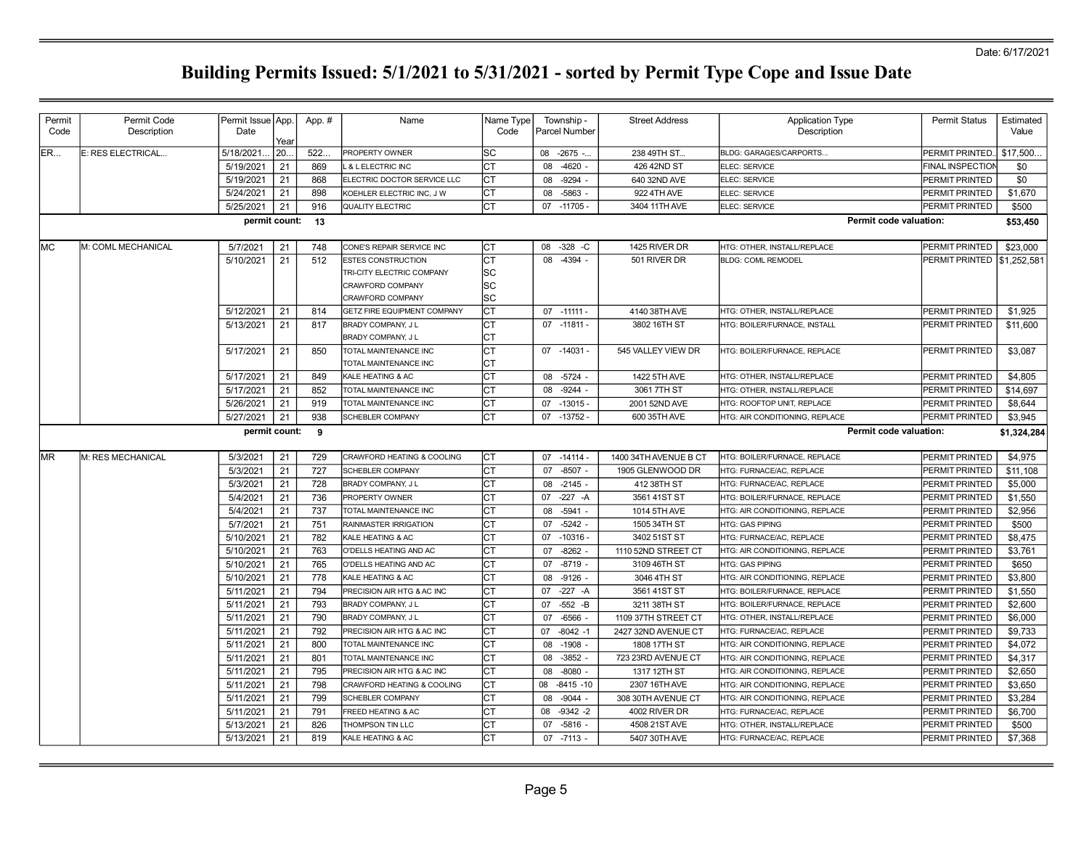| Permit     | Permit Code        | Permit Issue App. |      | App. #           | Name                        | Name Type | Township -         | <b>Street Address</b> | <b>Application Type</b>        | <b>Permit Status</b>    | Estimated   |
|------------|--------------------|-------------------|------|------------------|-----------------------------|-----------|--------------------|-----------------------|--------------------------------|-------------------------|-------------|
| Code       | Description        | Date              | Year |                  |                             | Code      | Parcel Number      |                       | Description                    |                         | Value       |
| ER         | E: RES ELECTRICAL  | 5/18/2021         | 20.  | 522.             | PROPERTY OWNER              | lsc       | 08 -2675 -         | 238 49TH ST           | <b>BLDG: GARAGES/CARPORTS.</b> | PERMIT PRINTED.         | \$17,500.   |
|            |                    | 5/19/2021         | 21   | 869              | & LELECTRIC INC             |           | $-4620 -$<br>08    | 426 42ND ST           | ELEC: SERVICE                  | <b>FINAL INSPECTIOI</b> | \$0         |
|            |                    | 5/19/2021         | 21   | 868              | ELECTRIC DOCTOR SERVICE LLC | lст       | $-9294$<br>08      | 640 32ND AVE          | ELEC: SERVICE                  | PERMIT PRINTED          | \$0         |
|            |                    | 5/24/2021         | 21   | 898              | KOEHLER ELECTRIC INC, J W   | Iст       | $-5863 -$<br>08    | 922 4TH AVE           | ELEC: SERVICE                  | PERMIT PRINTED          | \$1,670     |
|            |                    | 5/25/2021         | 21   | 916              | QUALITY ELECTRIC            | lст       | 07 -11705 -        | 3404 11TH AVE         | ELEC: SERVICE                  | PERMIT PRINTED          | \$500       |
|            |                    |                   |      | permit count: 13 |                             |           |                    |                       | Permit code valuation:         |                         | \$53,450    |
| <b>IMC</b> | M: COML MECHANICAL | 5/7/2021          | 21   | 748              | CONE'S REPAIR SERVICE INC   | ICT.      | $-328$ -C<br>08    | 1425 RIVER DR         | HTG: OTHER, INSTALL/REPLACE    | PERMIT PRINTED          | \$23,000    |
|            |                    | 5/10/2021         | 21   | 512              | ESTES CONSTRUCTION          | lст       | 08<br>$-4394 -$    | 501 RIVER DR          | <b>BLDG: COML REMODEL</b>      | PERMIT PRINTED          | \$1,252,581 |
|            |                    |                   |      |                  | TRI-CITY ELECTRIC COMPANY   | lsc       |                    |                       |                                |                         |             |
|            |                    |                   |      |                  | CRAWFORD COMPANY            | SC        |                    |                       |                                |                         |             |
|            |                    |                   |      |                  | <b>CRAWFORD COMPANY</b>     | lsc       |                    |                       |                                |                         |             |
|            |                    | 5/12/2021         | 21   | 814              | GETZ FIRE EQUIPMENT COMPANY | lст       | $07 - 11111 -$     | 4140 38TH AVE         | HTG: OTHER, INSTALL/REPLACE    | <b>PERMIT PRINTED</b>   | \$1,925     |
|            |                    | 5/13/2021         | 21   | 817              | BRADY COMPANY, J L          | Iст       | 07 -11811 -        | 3802 16TH ST          | HTG: BOILER/FURNACE, INSTALL   | <b>PERMIT PRINTED</b>   | \$11,600    |
|            |                    |                   |      |                  | BRADY COMPANY, J L          | Iст       |                    |                       |                                |                         |             |
|            |                    | 5/17/2021         | 21   | 850              | TOTAL MAINTENANCE INC       | Iст       | 07 -14031 -        | 545 VALLEY VIEW DR    | HTG: BOILER/FURNACE, REPLACE   | <b>PERMIT PRINTED</b>   | \$3,087     |
|            |                    |                   |      |                  | TOTAL MAINTENANCE INC       | Iст       |                    |                       |                                |                         |             |
|            |                    | 5/17/2021         | 21   | 849              | KALE HEATING & AC           | lст       | $-5724 -$<br>08    | 1422 5TH AVE          | HTG: OTHER, INSTALL/REPLACE    | <b>PERMIT PRINTED</b>   | \$4,805     |
|            |                    | 5/17/2021         | 21   | 852              | TOTAL MAINTENANCE INC       | Iст       | $-9244 -$<br>08    | 3061 7TH ST           | HTG: OTHER. INSTALL/REPLACE    | PERMIT PRINTED          | \$14,697    |
|            |                    | 5/26/2021         | 21   | 919              | TOTAL MAINTENANCE INC       | lст       | $-13015 -$<br>07   | 2001 52ND AVE         | HTG: ROOFTOP UNIT, REPLACE     | PERMIT PRINTED          | \$8,644     |
|            |                    | 5/27/2021         | 21   | 938              | <b>SCHEBLER COMPANY</b>     | Iст       | 07<br>$-13752 -$   | 600 35TH AVE          | HTG: AIR CONDITIONING, REPLACE | <b>PERMIT PRINTED</b>   | \$3,945     |
|            |                    | permit count:     |      | 9                |                             |           |                    |                       | Permit code valuation:         |                         | \$1,324,284 |
| <b>MR</b>  | M: RES MECHANICAL  | 5/3/2021          | 21   | 729              | CRAWFORD HEATING & COOLING  | Iст       | $-14114.$<br>07    | 1400 34TH AVENUE B CT | HTG: BOILER/FURNACE, REPLACE   | PERMIT PRINTED          | \$4,975     |
|            |                    | 5/3/2021          | 21   | 727              | <b>SCHEBLER COMPANY</b>     | lст       | $-8507 -$<br>07    | 1905 GLENWOOD DR      | HTG: FURNACE/AC, REPLACE       | PERMIT PRINTED          | \$11,108    |
|            |                    | 5/3/2021          | 21   | 728              | BRADY COMPANY, J L          | ∣ст       | $-2145 -$<br>08    | 412 38TH ST           | HTG: FURNACE/AC, REPLACE       | PERMIT PRINTED          | \$5,000     |
|            |                    | 5/4/2021          | 21   | 736              | PROPERTY OWNER              | lст       | $-227 - A$<br>07   | 3561 41ST ST          | HTG: BOILER/FURNACE, REPLACE   | PERMIT PRINTED          | \$1,550     |
|            |                    | 5/4/2021          | 21   | 737              | TOTAL MAINTENANCE INC       | Iст       | $-5941 -$<br>08    | 1014 5TH AVE          | HTG: AIR CONDITIONING, REPLACE | PERMIT PRINTED          | \$2,956     |
|            |                    | 5/7/2021          | 21   | 751              | RAINMASTER IRRIGATION       | lст       | 07<br>$-5242 -$    | 1505 34TH ST          | HTG: GAS PIPING                | <b>PERMIT PRINTED</b>   | \$500       |
|            |                    | 5/10/2021         | 21   | 782              | KALE HEATING & AC           | Iст       | $-10316 -$<br>07   | 3402 51ST ST          | HTG: FURNACE/AC, REPLACE       | <b>PERMIT PRINTED</b>   | \$8,475     |
|            |                    | 5/10/2021         | 21   | 763              | O'DELLS HEATING AND AC      | Iст       | 07<br>$-8262$      | 1110 52ND STREET CT   | HTG: AIR CONDITIONING, REPLACE | PERMIT PRINTED          | \$3,761     |
|            |                    | 5/10/2021         | 21   | 765              | O'DELLS HEATING AND AC      | Iст       | 07<br>$-8719$ -    | 3109 46TH ST          | <b>HTG: GAS PIPING</b>         | PERMIT PRINTED          | \$650       |
|            |                    | 5/10/2021         | 21   | 778              | KALE HEATING & AC           | CT        | $-9126 -$<br>08    | 3046 4TH ST           | HTG: AIR CONDITIONING, REPLACE | <b>PERMIT PRINTED</b>   | \$3.800     |
|            |                    | 5/11/2021         | 21   | 794              | PRECISION AIR HTG & AC INC  | lст       | 07<br>$-227 - A$   | 3561 41ST ST          | HTG: BOILER/FURNACE, REPLACE   | PERMIT PRINTED          | \$1,550     |
|            |                    | 5/11/2021         | 21   | 793              | BRADY COMPANY, J L          | Iст       | $-552$ -B<br>07    | 3211 38TH ST          | HTG: BOILER/FURNACE. REPLACE   | PERMIT PRINTED          | \$2,600     |
|            |                    | 5/11/2021         | 21   | 790              | BRADY COMPANY, J L          | Iст       | $-6566$ -<br>07    | 1109 37TH STREET CT   | HTG: OTHER, INSTALL/REPLACE    | <b>PERMIT PRINTED</b>   | \$6,000     |
|            |                    | 5/11/2021         | 21   | 792              | PRECISION AIR HTG & AC INC  | lст       | $-8042 - 1$<br>07  | 2427 32ND AVENUE CT   | HTG: FURNACE/AC, REPLACE       | <b>PERMIT PRINTED</b>   | \$9,733     |
|            |                    | 5/11/2021         | 21   | 800              | TOTAL MAINTENANCE INC       | Iст       | $-1908 -$<br>08    | 1808 17TH ST          | HTG: AIR CONDITIONING, REPLACE | <b>PERMIT PRINTED</b>   | \$4,072     |
|            |                    | 5/11/2021         | 21   | 801              | TOTAL MAINTENANCE INC       | Iст       | $-3852$<br>08      | 723 23RD AVENUE CT    | HTG: AIR CONDITIONING, REPLACE | <b>PERMIT PRINTED</b>   | \$4,317     |
|            |                    | 5/11/2021         | 21   | 795              | PRECISION AIR HTG & AC INC  | Iст       | $-8080 -$<br>08    | 1317 12TH ST          | HTG: AIR CONDITIONING, REPLACE | <b>PERMIT PRINTED</b>   | \$2,650     |
|            |                    | 5/11/2021         | 21   | 798              | CRAWFORD HEATING & COOLING  | Iст       | 08<br>$-8415 - 10$ | 2307 16TH AVE         | HTG: AIR CONDITIONING, REPLACE | PERMIT PRINTED          | \$3,650     |
|            |                    | 5/11/2021         | 21   | 799              | <b>SCHEBLER COMPANY</b>     | CT        | $-9044 -$<br>08    | 308 30TH AVENUE CT    | HTG: AIR CONDITIONING, REPLACE | <b>PERMIT PRINTED</b>   | \$3,284     |
|            |                    | 5/11/2021         | 21   | 791              | FREED HEATING & AC          | Iст       | 08<br>$-9342 -2$   | 4002 RIVER DR         | HTG: FURNACE/AC, REPLACE       | PERMIT PRINTED          | \$6,700     |
|            |                    |                   |      |                  |                             |           |                    |                       |                                |                         |             |
|            |                    | 5/13/2021         | 21   | 826              | THOMPSON TIN LLC            | lст       | $-5816 -$<br>07    | 4508 21ST AVE         | HTG: OTHER, INSTALL/REPLACE    | <b>PERMIT PRINTED</b>   | \$500       |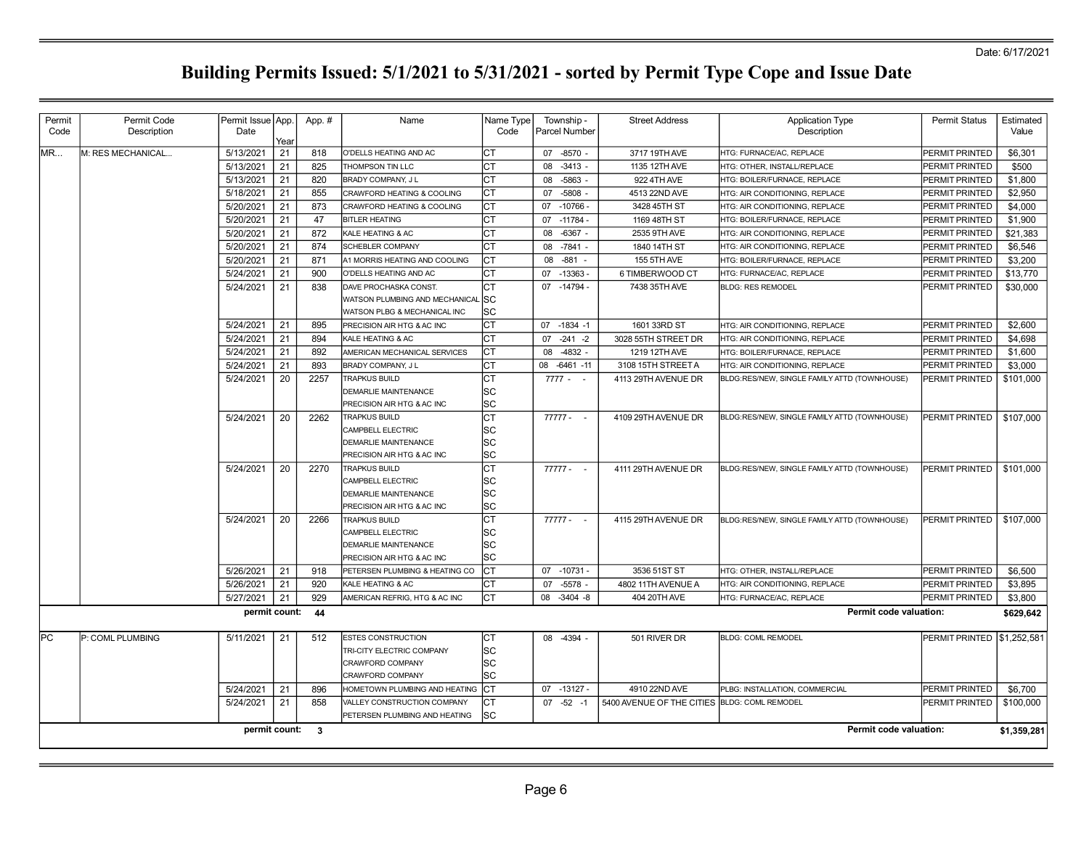| Permit    | Permit Code       | Permit Issue   App.    |            | App. #     | Name                                               | Name Type | Township -                     | <b>Street Address</b>                        | <b>Application Type</b>                                    | <b>Permit Status</b>             | Estimated               |
|-----------|-------------------|------------------------|------------|------------|----------------------------------------------------|-----------|--------------------------------|----------------------------------------------|------------------------------------------------------------|----------------------------------|-------------------------|
| Code      | Description       | Date                   |            |            |                                                    | Code      | Parcel Number                  |                                              | Description                                                |                                  | Value                   |
| <b>MR</b> | M: RES MECHANICAL | 5/13/2021              | Year<br>21 | 818        | O'DELLS HEATING AND AC                             | Iст       | 07 -8570 -                     | 3717 19TH AVE                                | HTG: FURNACE/AC, REPLACE                                   | PERMIT PRINTED                   | \$6,301                 |
|           |                   | 5/13/2021              | 21         | 825        | THOMPSON TIN LLC                                   | Iст       | 08<br>$-3413 -$                | 1135 12TH AVE                                | HTG: OTHER, INSTALL/REPLACE                                | PERMIT PRINTED                   | \$500                   |
|           |                   | 5/13/2021              | 21         | 820        | BRADY COMPANY, J L                                 | Iст       | 08<br>$-5863$                  | 922 4TH AVE                                  | HTG: BOILER/FURNACE, REPLACE                               | PERMIT PRINTED                   | \$1,800                 |
|           |                   | 5/18/2021              | 21         | 855        | CRAWFORD HEATING & COOLING                         | Iст       | $-5808 -$<br>07                | 4513 22ND AVE                                | HTG: AIR CONDITIONING, REPLACE                             | PERMIT PRINTED                   | \$2,950                 |
|           |                   | 5/20/2021              | 21         | 873        | CRAWFORD HEATING & COOLING                         | lст       | 07<br>$-10766$                 | 3428 45TH ST                                 | HTG: AIR CONDITIONING, REPLACE                             | PERMIT PRINTED                   | \$4,000                 |
|           |                   | 5/20/2021              | 21         | 47         | <b>BITLER HEATING</b>                              | Iст       | 07<br>$-11784-$                | 1169 48TH ST                                 | HTG: BOILER/FURNACE, REPLACE                               | PERMIT PRINTED                   | \$1,900                 |
|           |                   | 5/20/2021              | 21         | 872        | KALE HEATING & AC                                  | lст       | $-6367 -$<br>08                | 2535 9TH AVE                                 | HTG: AIR CONDITIONING, REPLACE                             | PERMIT PRINTED                   | \$21,383                |
|           |                   | 5/20/2021              | 21         | 874        | <b>SCHEBLER COMPANY</b>                            | lст       | $-7841 -$<br>08                | 1840 14TH ST                                 | HTG: AIR CONDITIONING, REPLACE                             | PERMIT PRINTED                   | \$6,546                 |
|           |                   | 5/20/2021              | 21         | 871        | A1 MORRIS HEATING AND COOLING                      | lст       | $-881$<br>08                   | 155 5TH AVE                                  | HTG: BOILER/FURNACE, REPLACE                               | PERMIT PRINTED                   | \$3,200                 |
|           |                   | 5/24/2021              | 21         | 900        | O'DELLS HEATING AND AC                             | Iст       | $-13363 -$<br>07               | 6 TIMBERWOOD CT                              | HTG: FURNACE/AC, REPLACE                                   | PERMIT PRINTED                   | \$13,770                |
|           |                   | 5/24/2021              | 21         | 838        | DAVE PROCHASKA CONST.                              | Iст       | $-14794-$<br>07                | 7438 35TH AVE                                | <b>BLDG: RES REMODEL</b>                                   | PERMIT PRINTED                   | \$30,000                |
|           |                   |                        |            |            | WATSON PLUMBING AND MECHANICAL                     | . Isc     |                                |                                              |                                                            |                                  |                         |
|           |                   |                        |            |            | WATSON PLBG & MECHANICAL INC                       | lsc       |                                |                                              |                                                            |                                  |                         |
|           |                   | 5/24/2021              | 21         | 895        | PRECISION AIR HTG & AC INC                         | Iст       | 07 -1834 -1                    | 1601 33RD ST                                 | HTG: AIR CONDITIONING, REPLACE                             | PERMIT PRINTED                   | \$2,600                 |
|           |                   | 5/24/2021              | 21         | 894        | KALE HEATING & AC                                  | CT        | $-241 - 2$<br>07               | 3028 55TH STREET DR                          | HTG: AIR CONDITIONING, REPLACE                             | PERMIT PRINTED                   | \$4,698                 |
|           |                   | 5/24/2021              | 21         | 892        | AMERICAN MECHANICAL SERVICES                       | Iст       | $-4832 -$<br>08                | 1219 12TH AVE                                | HTG: BOILER/FURNACE, REPLACE                               | PERMIT PRINTED                   | \$1,600                 |
|           |                   | 5/24/2021              | 21         | 893        | BRADY COMPANY, J L                                 | Iст       | $-6461 - 11$<br>08             | 3108 15TH STREET A                           | HTG: AIR CONDITIONING, REPLACE                             | PERMIT PRINTED                   | \$3,000                 |
|           |                   | 5/24/2021              | 20         | 2257       | <b>TRAPKUS BUILD</b>                               | lст       | $7777 - -$                     | 4113 29TH AVENUE DR                          | BLDG:RES/NEW, SINGLE FAMILY ATTD (TOWNHOUSE)               | PERMIT PRINTED                   | \$101,000               |
|           |                   |                        |            |            | DEMARLIE MAINTENANCE                               | SC        |                                |                                              |                                                            |                                  |                         |
|           |                   |                        |            |            | PRECISION AIR HTG & AC INC                         | SC        |                                |                                              |                                                            |                                  |                         |
|           |                   | 5/24/2021              | 20         | 2262       | <b>TRAPKUS BUILD</b>                               | lст       | $77777 - -$                    | 4109 29TH AVENUE DR                          | BLDG:RES/NEW, SINGLE FAMILY ATTD (TOWNHOUSE)               | PERMIT PRINTED                   | $\frac{1}{2}$ \$107,000 |
|           |                   |                        |            |            | CAMPBELL ELECTRIC                                  | lsc       |                                |                                              |                                                            |                                  |                         |
|           |                   |                        |            |            | DEMARLIE MAINTENANCE                               | SC        |                                |                                              |                                                            |                                  |                         |
|           |                   |                        |            |            | PRECISION AIR HTG & AC INC                         | lsc       |                                |                                              |                                                            |                                  |                         |
|           |                   | 5/24/2021              | 20         | 2270       | <b>TRAPKUS BUILD</b>                               | lст       | $77777 - -$                    | 4111 29TH AVENUE DR                          | BLDG:RES/NEW, SINGLE FAMILY ATTD (TOWNHOUSE)               | PERMIT PRINTED                   | $\frac{1}{2}$ \$101,000 |
|           |                   |                        |            |            | CAMPBELL ELECTRIC                                  | lsc       |                                |                                              |                                                            |                                  |                         |
|           |                   |                        |            |            | DEMARLIE MAINTENANCE                               | lsc       |                                |                                              |                                                            |                                  |                         |
|           |                   |                        |            |            | PRECISION AIR HTG & AC INC                         | lsc       |                                |                                              |                                                            |                                  |                         |
|           |                   | 5/24/2021              | 20         | 2266       | TRAPKUS BUILD                                      | Iст       | $77777 - -$                    | 4115 29TH AVENUE DR                          | BLDG:RES/NEW, SINGLE FAMILY ATTD (TOWNHOUSE)               | PERMIT PRINTED                   | \$107,000               |
|           |                   |                        |            |            | CAMPBELL ELECTRIC                                  | lsc       |                                |                                              |                                                            |                                  |                         |
|           |                   |                        |            |            | DEMARLIE MAINTENANCE                               | lsc       |                                |                                              |                                                            |                                  |                         |
|           |                   |                        |            |            | PRECISION AIR HTG & AC INC                         | lsc       |                                |                                              |                                                            |                                  |                         |
|           |                   | 5/26/2021<br>5/26/2021 | 21<br>21   | 918<br>920 | PETERSEN PLUMBING & HEATING CO                     | Iст<br>СT | 07<br>$-10731 -$<br>07         | 3536 51ST ST<br>4802 11TH AVENUE A           | HTG: OTHER, INSTALL/REPLACE                                | PERMIT PRINTED                   | \$6,500<br>\$3,895      |
|           |                   | 5/27/2021              | 21         | 929        | KALE HEATING & AC<br>AMERICAN REFRIG, HTG & AC INC | Iст       | $-5578 -$<br>$-3404 - 8$<br>08 | 404 20TH AVE                                 | HTG: AIR CONDITIONING, REPLACE<br>HTG: FURNACE/AC, REPLACE | PERMIT PRINTED<br>PERMIT PRINTED |                         |
|           |                   |                        |            |            |                                                    |           |                                |                                              |                                                            |                                  | \$3,800                 |
|           |                   | permit count:          |            | 44         |                                                    |           |                                |                                              | Permit code valuation:                                     |                                  | \$629,642               |
| lPC.      | P: COML PLUMBING  | 5/11/2021              | 21         | 512        | ESTES CONSTRUCTION                                 | Iст       | 08 -4394 -                     | 501 RIVER DR                                 | <b>BLDG: COML REMODEL</b>                                  | PERMIT PRINTED \\$1,252,581      |                         |
|           |                   |                        |            |            | TRI-CITY ELECTRIC COMPANY                          | lsc       |                                |                                              |                                                            |                                  |                         |
|           |                   |                        |            |            | CRAWFORD COMPANY                                   | lsc       |                                |                                              |                                                            |                                  |                         |
|           |                   |                        |            |            | CRAWFORD COMPANY                                   | lsc       |                                |                                              |                                                            |                                  |                         |
|           |                   | 5/24/2021              | 21         | 896        | HOMETOWN PLUMBING AND HEATING                      | Iст       | 07 -13127 -                    | 4910 22ND AVE                                | PLBG: INSTALLATION, COMMERCIAL                             | <b>PERMIT PRINTED</b>            | \$6,700                 |
|           |                   | 5/24/2021              | 21         | 858        | VALLEY CONSTRUCTION COMPANY                        | Iст       | $07 -52 -1$                    | 5400 AVENUE OF THE CITIES BLDG: COML REMODEL |                                                            | PERMIT PRINTED                   | \$100,000               |
|           |                   |                        |            |            | PETERSEN PLUMBING AND HEATING                      | lsc       |                                |                                              |                                                            |                                  |                         |
|           |                   | permit count: 3        |            |            |                                                    |           |                                |                                              | Permit code valuation:                                     |                                  | \$1,359,281             |
|           |                   |                        |            |            |                                                    |           |                                |                                              |                                                            |                                  |                         |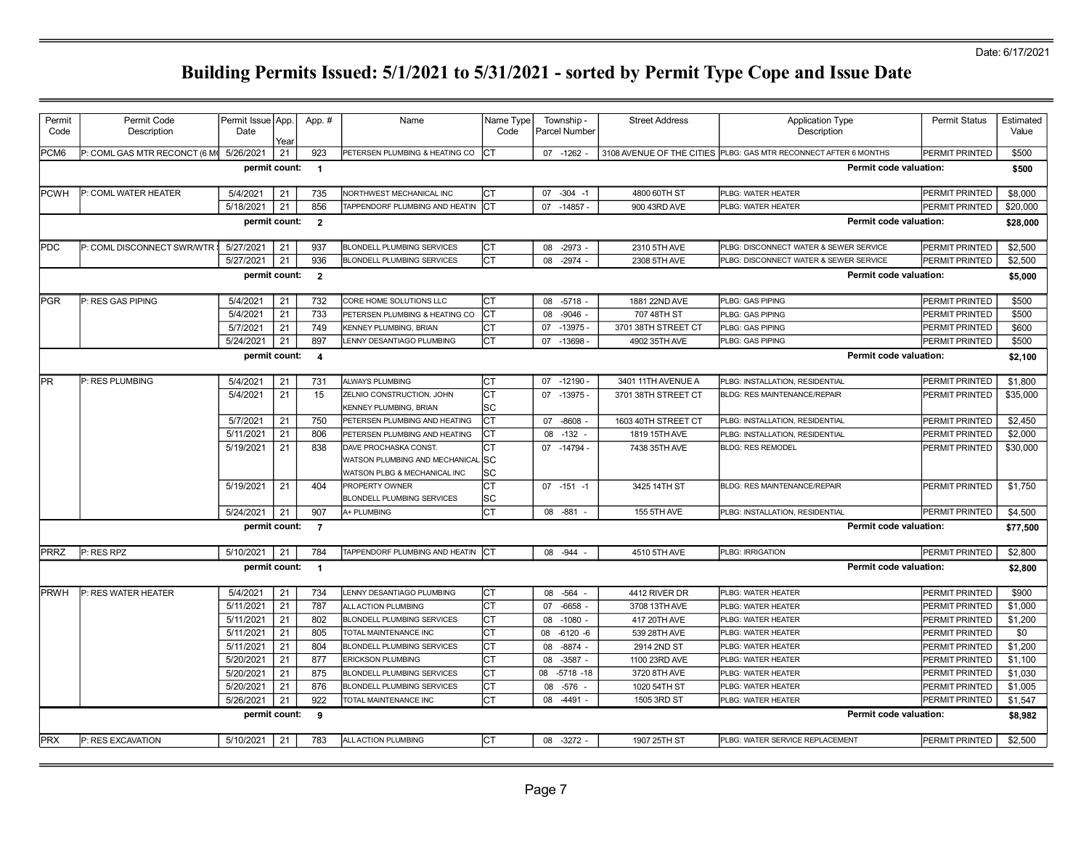| Permit           | Permit Code                   | Permit Issue App.     |            | App. #                  | Name                                                       | Name Type  | Township -                        | <b>Street Address</b>                | <b>Application Type</b>                                          | <b>Permit Status</b>             | Estimated      |
|------------------|-------------------------------|-----------------------|------------|-------------------------|------------------------------------------------------------|------------|-----------------------------------|--------------------------------------|------------------------------------------------------------------|----------------------------------|----------------|
| Code             | Description                   | Date                  |            |                         |                                                            | Code       | <b>Parcel Number</b>              |                                      | Description                                                      |                                  | Value          |
| PCM <sub>6</sub> | P: COML GAS MTR RECONCT (6 M) | 5/26/2021             | Year<br>21 | 923                     | PETERSEN PLUMBING & HEATING CO                             | <b>ICT</b> | 07 -1262                          |                                      | 3108 AVENUE OF THE CITIES PLBG: GAS MTR RECONNECT AFTER 6 MONTHS | PERMIT PRINTED                   | \$500          |
|                  |                               | permit count:         |            | $\overline{1}$          |                                                            |            |                                   |                                      | Permit code valuation:                                           |                                  | \$500          |
|                  |                               |                       |            |                         |                                                            |            |                                   |                                      |                                                                  |                                  |                |
| PCWH             | <b>IP: COML WATER HEATER</b>  | 5/4/2021              | 21         | 735                     | NORTHWEST MECHANICAL INC                                   | Iст        | $-304 - 1$<br>07                  | 4800 60TH ST                         | PLBG: WATER HEATER                                               | PERMIT PRINTED                   | \$8,000        |
|                  |                               | 5/18/2021             | 21         | 856                     | TAPPENDORF PLUMBING AND HEATIN CT                          |            | 07 -14857 -                       | 900 43RD AVE                         | PLBG: WATER HEATER                                               | PERMIT PRINTED                   | \$20,000       |
|                  |                               | permit count:         |            | $\overline{\mathbf{2}}$ |                                                            |            |                                   |                                      | Permit code valuation:                                           |                                  | \$28,000       |
| IPDC             | P: COML DISCONNECT SWR/WTR :  | 5/27/2021             | 21         | 937                     | <b>BLONDELL PLUMBING SERVICES</b>                          | Iст        | $-2973 -$<br>80                   | 2310 5TH AVE                         | PLBG: DISCONNECT WATER & SEWER SERVICE                           | PERMIT PRINTED                   | \$2,500        |
|                  |                               | 5/27/2021             | 21         | 936                     | <b>BLONDELL PLUMBING SERVICES</b>                          | Iст        | $-2974$ -<br>80                   | 2308 5TH AVE                         | PLBG: DISCONNECT WATER & SEWER SERVICE                           | PERMIT PRINTED                   | \$2,500        |
|                  |                               | permit count: 2       |            |                         |                                                            |            |                                   |                                      | <b>Permit code valuation:</b>                                    |                                  | \$5,000        |
|                  |                               |                       |            |                         |                                                            |            |                                   |                                      |                                                                  |                                  |                |
| <b>IPGR</b>      | P: RES GAS PIPING             | 5/4/2021              | 21         | 732                     | CORE HOME SOLUTIONS LLC                                    | Iст        | $-5718$<br>08                     | 1881 22ND AVE                        | PLBG: GAS PIPING                                                 | PERMIT PRINTED                   | \$500          |
|                  |                               | 5/4/2021              | 21         | 733                     | PETERSEN PLUMBING & HEATING CO                             | Iст        | $-9046 -$<br>08                   | 707 48TH ST                          | <b>PLBG: GAS PIPING</b><br>PLBG: GAS PIPING                      | PERMIT PRINTED                   | \$500          |
|                  |                               | 5/7/2021<br>5/24/2021 | 21<br>21   | 749<br>897              | KENNEY PLUMBING, BRIAN<br>LENNY DESANTIAGO PLUMBING        | IСТ<br>Iст | 07<br>$-13975-$<br>$-13698$<br>07 | 3701 38TH STREET CT<br>4902 35TH AVE | PLBG: GAS PIPING                                                 | PERMIT PRINTED<br>PERMIT PRINTED | \$600<br>\$500 |
|                  |                               | permit count:         |            |                         |                                                            |            |                                   |                                      | <b>Permit code valuation:</b>                                    |                                  |                |
|                  |                               |                       |            | $\overline{\mathbf{4}}$ |                                                            |            |                                   |                                      |                                                                  |                                  | \$2,100        |
| lPR.             | P: RES PLUMBING               | 5/4/2021              | 21         | 731                     | <b>ALWAYS PLUMBING</b>                                     | Iст        | $07 - 12190 -$                    | 3401 11TH AVENUE A                   | PLBG: INSTALLATION, RESIDENTIAL                                  | <b>PERMIT PRINTED</b>            | \$1,800        |
|                  |                               | 5/4/2021              | 21         | 15                      | ZELNIO CONSTRUCTION, JOHN<br>KENNEY PLUMBING, BRIAN        | IСТ<br>lsc | 07 -13975 -                       | 3701 38TH STREET CT                  | <b>BLDG: RES MAINTENANCE/REPAIR</b>                              | PERMIT PRINTED                   | \$35,000       |
|                  |                               | 5/7/2021              | 21         | 750                     | PETERSEN PLUMBING AND HEATING                              | Iст        | $-8608$<br>07                     | 1603 40TH STREET CT                  | PLBG: INSTALLATION, RESIDENTIAL                                  | PERMIT PRINTED                   | \$2,450        |
|                  |                               | 5/11/2021             | 21         | 806                     | PETERSEN PLUMBING AND HEATING                              | Iст        | 08 - 132 -                        | 1819 15TH AVE                        | PLBG: INSTALLATION, RESIDENTIAL                                  | PERMIT PRINTED                   | \$2,000        |
|                  |                               | 5/19/2021             | 21         | 838                     | DAVE PROCHASKA CONST.                                      | IСТ        | 07 -14794 -                       | 7438 35TH AVE                        | <b>BLDG: RES REMODEL</b>                                         | PERMIT PRINTED                   | \$30,000       |
|                  |                               |                       |            |                         | WATSON PLUMBING AND MECHANICAL                             | <b>ISC</b> |                                   |                                      |                                                                  |                                  |                |
|                  |                               |                       |            |                         | WATSON PLBG & MECHANICAL INC                               | lsc        |                                   |                                      |                                                                  |                                  |                |
|                  |                               | 5/19/2021             | 21         | 404                     | <b>PROPERTY OWNER</b><br><b>BLONDELL PLUMBING SERVICES</b> | Iст<br>lsc | $07 - 151 - 1$                    | 3425 14TH ST                         | BLDG: RES MAINTENANCE/REPAIR                                     | PERMIT PRINTED                   | \$1,750        |
|                  |                               | 5/24/2021             | 21         | 907                     | A+ PLUMBING                                                | Iст        | 08 -881                           | 155 5TH AVE                          | PLBG: INSTALLATION, RESIDENTIAL                                  | PERMIT PRINTED                   | \$4,500        |
|                  |                               | permit count: 7       |            |                         |                                                            |            |                                   |                                      | Permit code valuation:                                           |                                  | \$77,500       |
|                  |                               |                       |            |                         |                                                            |            |                                   |                                      |                                                                  |                                  |                |
| <b>PRRZ</b>      | P: RES RPZ                    | 5/10/2021             | 21         | 784                     | TAPPENDORF PLUMBING AND HEATIN CT                          |            | 08 - 944                          | 4510 5TH AVE                         | PLBG: IRRIGATION                                                 | PERMIT PRINTED                   | \$2,800        |
|                  |                               | permit count:         |            | $\blacksquare$          |                                                            |            |                                   |                                      | Permit code valuation:                                           |                                  | \$2,800        |
| <b>IPRWH</b>     | P: RES WATER HEATER           | 5/4/2021              | 21         | 734                     | LENNY DESANTIAGO PLUMBING                                  | Iст        | $-564 -$<br>08                    | 4412 RIVER DR                        | PLBG: WATER HEATER                                               | PERMIT PRINTED                   | \$900          |
|                  |                               | 5/11/2021             | 21         | 787                     | ALL ACTION PLUMBING                                        | Iст        | $-6658$<br>07                     | 3708 13TH AVE                        | PLBG: WATER HEATER                                               | PERMIT PRINTED                   | \$1,000        |
|                  |                               | 5/11/2021             | 21         | 802                     | BLONDELL PLUMBING SERVICES                                 | Iст        | $-1080 -$<br>08                   | 417 20TH AVE                         | PLBG: WATER HEATER                                               | PERMIT PRINTED                   | \$1,200        |
|                  |                               | 5/11/2021             | 21         | 805                     | TOTAL MAINTENANCE INC                                      | Iст        | $-6120 - 6$<br>08                 | 539 28TH AVE                         | PLBG: WATER HEATER                                               | PERMIT PRINTED                   | \$0            |
|                  |                               | 5/11/2021             | 21         | 804                     | <b>BLONDELL PLUMBING SERVICES</b>                          | Iст        | $-8874 -$<br>08                   | 2914 2ND ST                          | PLBG: WATER HEATER                                               | PERMIT PRINTED                   | \$1,200        |
|                  |                               | 5/20/2021             | 21         | 877                     | <b>ERICKSON PLUMBING</b>                                   | IСТ        | $-3587 -$<br>80                   | 1100 23RD AVE                        | PLBG: WATER HEATER                                               | PERMIT PRINTED                   | \$1,100        |
|                  |                               | 5/20/2021             | 21         | 875                     | <b>BLONDELL PLUMBING SERVICES</b>                          | IСТ        | $-5718 - 18$<br>08                | 3720 8TH AVE                         | PLBG: WATER HEATER                                               | PERMIT PRINTED                   | \$1,030        |
|                  |                               | 5/20/2021             | 21         | 876                     | <b>BLONDELL PLUMBING SERVICES</b>                          | Iст        | 08<br>$-576$                      | 1020 54TH ST                         | PLBG: WATER HEATER                                               | PERMIT PRINTED                   | \$1,005        |
|                  |                               | 5/26/2021             | 21         | 922                     | TOTAL MAINTENANCE INC                                      | Iст        | $-4491$<br>08                     | 1505 3RD ST                          | PLBG: WATER HEATER                                               | PERMIT PRINTED                   | \$1,547        |
|                  |                               | permit count:         |            | 9                       |                                                            |            |                                   |                                      | Permit code valuation:                                           |                                  | \$8,982        |
| <b>PRX</b>       | P: RES EXCAVATION             | 5/10/2021             | 21         | 783                     | ALL ACTION PLUMBING                                        | Iст        | $08 - 3272 -$                     | 1907 25TH ST                         | PLBG: WATER SERVICE REPLACEMENT                                  | PERMIT PRINTED                   | \$2,500        |
|                  |                               |                       |            |                         |                                                            |            |                                   |                                      |                                                                  |                                  |                |